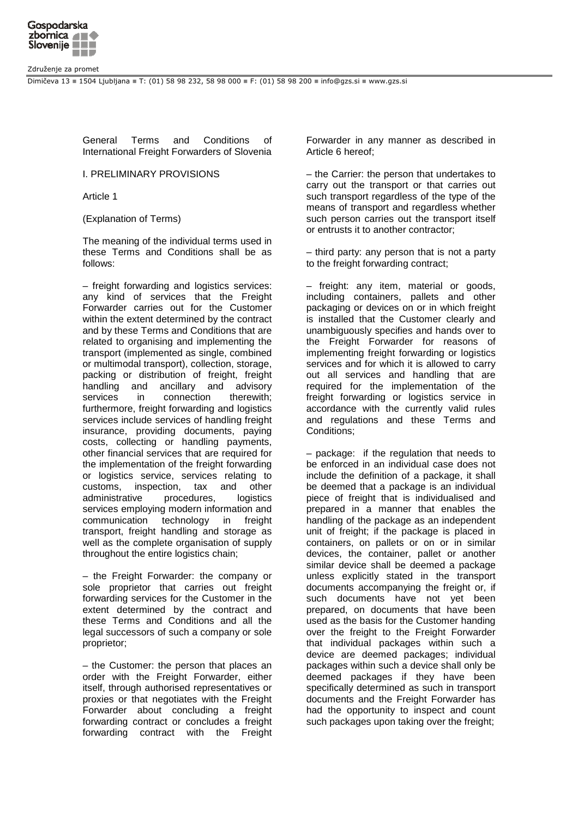

Združenje za promet

Dimičeva 13 = 1504 Ljubljana = T: (01) 58 98 232, 58 98 000 = F: (01) 58 98 200 = info@qzs.si = www.qzs.si

General Terms and Conditions of International Freight Forwarders of Slovenia

I. PRELIMINARY PROVISIONS

Article 1

(Explanation of Terms)

The meaning of the individual terms used in these Terms and Conditions shall be as follows:

– freight forwarding and logistics services: any kind of services that the Freight Forwarder carries out for the Customer within the extent determined by the contract and by these Terms and Conditions that are related to organising and implementing the transport (implemented as single, combined or multimodal transport), collection, storage, packing or distribution of freight, freight handling and ancillary and advisory services in connection therewith; furthermore, freight forwarding and logistics services include services of handling freight insurance, providing documents, paying costs, collecting or handling payments, other financial services that are required for the implementation of the freight forwarding or logistics service, services relating to customs, inspection, tax and other administrative procedures, logistics services employing modern information and communication technology in freight transport, freight handling and storage as well as the complete organisation of supply throughout the entire logistics chain;

– the Freight Forwarder: the company or sole proprietor that carries out freight forwarding services for the Customer in the extent determined by the contract and these Terms and Conditions and all the legal successors of such a company or sole proprietor;

– the Customer: the person that places an order with the Freight Forwarder, either itself, through authorised representatives or proxies or that negotiates with the Freight Forwarder about concluding a freight forwarding contract or concludes a freight forwarding contract with the Freight Forwarder in any manner as described in Article 6 hereof;

– the Carrier: the person that undertakes to carry out the transport or that carries out such transport regardless of the type of the means of transport and regardless whether such person carries out the transport itself or entrusts it to another contractor;

– third party: any person that is not a party to the freight forwarding contract;

– freight: any item, material or goods, including containers, pallets and other packaging or devices on or in which freight is installed that the Customer clearly and unambiguously specifies and hands over to the Freight Forwarder for reasons of implementing freight forwarding or logistics services and for which it is allowed to carry out all services and handling that are required for the implementation of the freight forwarding or logistics service in accordance with the currently valid rules and regulations and these Terms and Conditions;

– package: if the regulation that needs to be enforced in an individual case does not include the definition of a package, it shall be deemed that a package is an individual piece of freight that is individualised and prepared in a manner that enables the handling of the package as an independent unit of freight; if the package is placed in containers, on pallets or on or in similar devices, the container, pallet or another similar device shall be deemed a package unless explicitly stated in the transport documents accompanying the freight or, if such documents have not yet been prepared, on documents that have been used as the basis for the Customer handing over the freight to the Freight Forwarder that individual packages within such a device are deemed packages; individual packages within such a device shall only be deemed packages if they have been specifically determined as such in transport documents and the Freight Forwarder has had the opportunity to inspect and count such packages upon taking over the freight;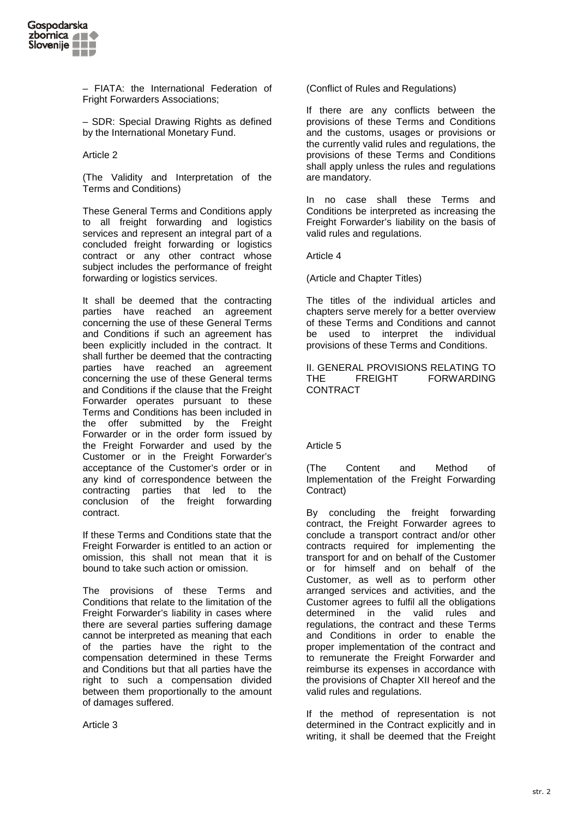

– FIATA: the International Federation of Fright Forwarders Associations;

– SDR: Special Drawing Rights as defined by the International Monetary Fund.

Article 2

(The Validity and Interpretation of the Terms and Conditions)

These General Terms and Conditions apply to all freight forwarding and logistics services and represent an integral part of a concluded freight forwarding or logistics contract or any other contract whose subject includes the performance of freight forwarding or logistics services.

It shall be deemed that the contracting parties have reached an agreement concerning the use of these General Terms and Conditions if such an agreement has been explicitly included in the contract. It shall further be deemed that the contracting parties have reached an agreement concerning the use of these General terms and Conditions if the clause that the Freight Forwarder operates pursuant to these Terms and Conditions has been included in the offer submitted by the Freight Forwarder or in the order form issued by the Freight Forwarder and used by the Customer or in the Freight Forwarder's acceptance of the Customer's order or in any kind of correspondence between the contracting parties that led to the conclusion of the freight forwarding contract.

If these Terms and Conditions state that the Freight Forwarder is entitled to an action or omission, this shall not mean that it is bound to take such action or omission.

The provisions of these Terms and Conditions that relate to the limitation of the Freight Forwarder's liability in cases where there are several parties suffering damage cannot be interpreted as meaning that each of the parties have the right to the compensation determined in these Terms and Conditions but that all parties have the right to such a compensation divided between them proportionally to the amount of damages suffered.

Article 3

(Conflict of Rules and Regulations)

If there are any conflicts between the provisions of these Terms and Conditions and the customs, usages or provisions or the currently valid rules and regulations, the provisions of these Terms and Conditions shall apply unless the rules and regulations are mandatory.

In no case shall these Terms and Conditions be interpreted as increasing the Freight Forwarder's liability on the basis of valid rules and regulations.

Article 4

(Article and Chapter Titles)

The titles of the individual articles and chapters serve merely for a better overview of these Terms and Conditions and cannot be used to interpret the individual provisions of these Terms and Conditions.

II. GENERAL PROVISIONS RELATING TO THE FREIGHT FORWARDING **CONTRACT** 

# Article 5

(The Content and Method of Implementation of the Freight Forwarding Contract)

By concluding the freight forwarding contract, the Freight Forwarder agrees to conclude a transport contract and/or other contracts required for implementing the transport for and on behalf of the Customer or for himself and on behalf of the Customer, as well as to perform other arranged services and activities, and the Customer agrees to fulfil all the obligations determined in the valid rules and regulations, the contract and these Terms and Conditions in order to enable the proper implementation of the contract and to remunerate the Freight Forwarder and reimburse its expenses in accordance with the provisions of Chapter XII hereof and the valid rules and regulations.

If the method of representation is not determined in the Contract explicitly and in writing, it shall be deemed that the Freight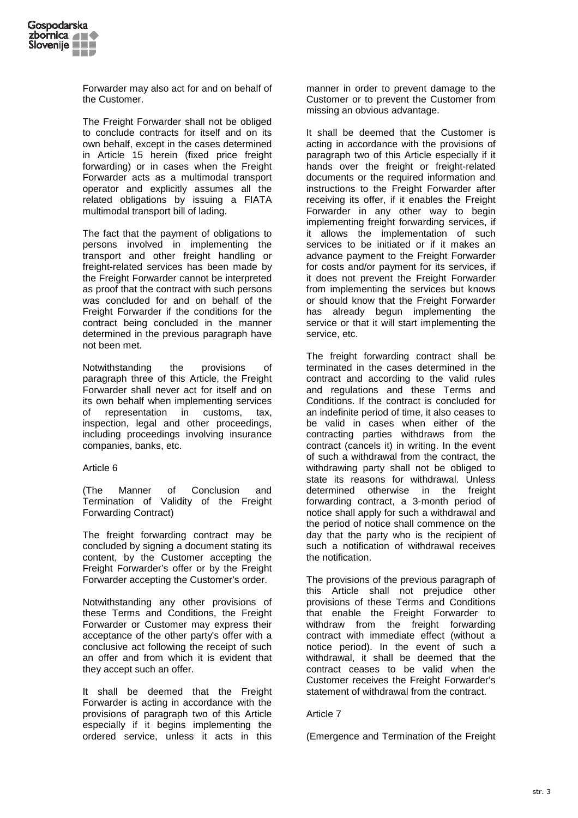

Forwarder may also act for and on behalf of the Customer.

The Freight Forwarder shall not be obliged to conclude contracts for itself and on its own behalf, except in the cases determined in Article 15 herein (fixed price freight forwarding) or in cases when the Freight Forwarder acts as a multimodal transport operator and explicitly assumes all the related obligations by issuing a FIATA multimodal transport bill of lading.

The fact that the payment of obligations to persons involved in implementing the transport and other freight handling or freight-related services has been made by the Freight Forwarder cannot be interpreted as proof that the contract with such persons was concluded for and on behalf of the Freight Forwarder if the conditions for the contract being concluded in the manner determined in the previous paragraph have not been met.

Notwithstanding the provisions of paragraph three of this Article, the Freight Forwarder shall never act for itself and on its own behalf when implementing services of representation in customs, tax, inspection, legal and other proceedings, including proceedings involving insurance companies, banks, etc.

### Article 6

(The Manner of Conclusion and Termination of Validity of the Freight Forwarding Contract)

The freight forwarding contract may be concluded by signing a document stating its content, by the Customer accepting the Freight Forwarder's offer or by the Freight Forwarder accepting the Customer's order.

Notwithstanding any other provisions of these Terms and Conditions, the Freight Forwarder or Customer may express their acceptance of the other party's offer with a conclusive act following the receipt of such an offer and from which it is evident that they accept such an offer.

It shall be deemed that the Freight Forwarder is acting in accordance with the provisions of paragraph two of this Article especially if it begins implementing the ordered service, unless it acts in this

manner in order to prevent damage to the Customer or to prevent the Customer from missing an obvious advantage.

It shall be deemed that the Customer is acting in accordance with the provisions of paragraph two of this Article especially if it hands over the freight or freight-related documents or the required information and instructions to the Freight Forwarder after receiving its offer, if it enables the Freight Forwarder in any other way to begin implementing freight forwarding services, if it allows the implementation of such services to be initiated or if it makes an advance payment to the Freight Forwarder for costs and/or payment for its services, if it does not prevent the Freight Forwarder from implementing the services but knows or should know that the Freight Forwarder has already begun implementing the service or that it will start implementing the service, etc.

The freight forwarding contract shall be terminated in the cases determined in the contract and according to the valid rules and regulations and these Terms and Conditions. If the contract is concluded for an indefinite period of time, it also ceases to be valid in cases when either of the contracting parties withdraws from the contract (cancels it) in writing. In the event of such a withdrawal from the contract, the withdrawing party shall not be obliged to state its reasons for withdrawal. Unless determined otherwise in the freight forwarding contract, a 3-month period of notice shall apply for such a withdrawal and the period of notice shall commence on the day that the party who is the recipient of such a notification of withdrawal receives the notification.

The provisions of the previous paragraph of this Article shall not prejudice other provisions of these Terms and Conditions that enable the Freight Forwarder to withdraw from the freight forwarding contract with immediate effect (without a notice period). In the event of such a withdrawal, it shall be deemed that the contract ceases to be valid when the Customer receives the Freight Forwarder's statement of withdrawal from the contract.

### Article 7

(Emergence and Termination of the Freight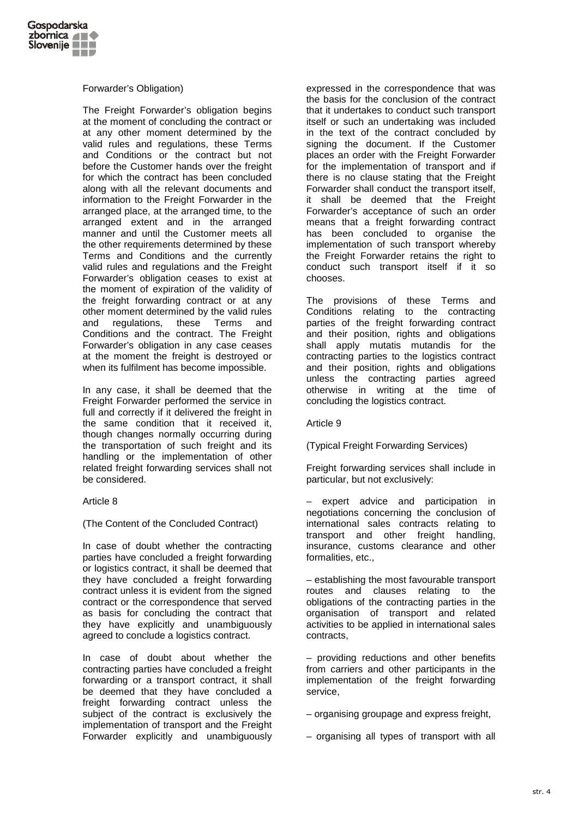

# Forwarder's Obligation)

The Freight Forwarder's obligation begins at the moment of concluding the contract or at any other moment determined by the valid rules and regulations, these Terms and Conditions or the contract but not before the Customer hands over the freight for which the contract has been concluded along with all the relevant documents and information to the Freight Forwarder in the arranged place, at the arranged time, to the arranged extent and in the arranged manner and until the Customer meets all the other requirements determined by these Terms and Conditions and the currently valid rules and regulations and the Freight Forwarder's obligation ceases to exist at the moment of expiration of the validity of the freight forwarding contract or at any other moment determined by the valid rules and regulations, these Terms and Conditions and the contract. The Freight Forwarder's obligation in any case ceases at the moment the freight is destroyed or when its fulfilment has become impossible.

In any case, it shall be deemed that the Freight Forwarder performed the service in full and correctly if it delivered the freight in the same condition that it received it, though changes normally occurring during the transportation of such freight and its handling or the implementation of other related freight forwarding services shall not be considered.

# Article 8

(The Content of the Concluded Contract)

In case of doubt whether the contracting parties have concluded a freight forwarding or logistics contract, it shall be deemed that they have concluded a freight forwarding contract unless it is evident from the signed contract or the correspondence that served as basis for concluding the contract that they have explicitly and unambiguously agreed to conclude a logistics contract.

In case of doubt about whether the contracting parties have concluded a freight forwarding or a transport contract, it shall be deemed that they have concluded a freight forwarding contract unless the subject of the contract is exclusively the implementation of transport and the Freight Forwarder explicitly and unambiguously

expressed in the correspondence that was the basis for the conclusion of the contract that it undertakes to conduct such transport itself or such an undertaking was included in the text of the contract concluded by signing the document. If the Customer places an order with the Freight Forwarder for the implementation of transport and if there is no clause stating that the Freight Forwarder shall conduct the transport itself, it shall be deemed that the Freight Forwarder's acceptance of such an order means that a freight forwarding contract has been concluded to organise the implementation of such transport whereby the Freight Forwarder retains the right to conduct such transport itself if it so chooses.

The provisions of these Terms and Conditions relating to the contracting parties of the freight forwarding contract and their position, rights and obligations shall apply mutatis mutandis for the contracting parties to the logistics contract and their position, rights and obligations unless the contracting parties agreed otherwise in writing at the time of concluding the logistics contract.

# Article 9

(Typical Freight Forwarding Services)

Freight forwarding services shall include in particular, but not exclusively:

expert advice and participation in negotiations concerning the conclusion of international sales contracts relating to transport and other freight handling, insurance, customs clearance and other formalities, etc.,

– establishing the most favourable transport routes and clauses relating to the obligations of the contracting parties in the organisation of transport and related activities to be applied in international sales contracts,

– providing reductions and other benefits from carriers and other participants in the implementation of the freight forwarding service,

– organising groupage and express freight,

– organising all types of transport with all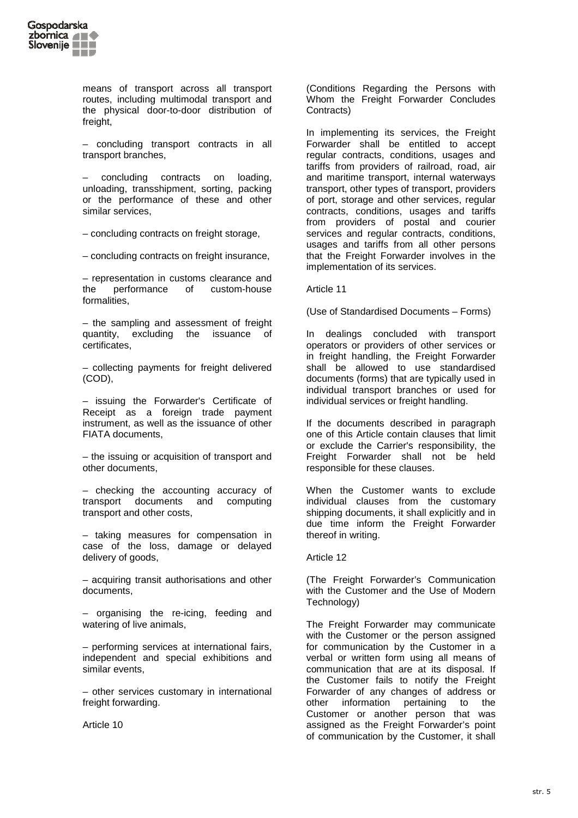

means of transport across all transport routes, including multimodal transport and the physical door-to-door distribution of freight,

– concluding transport contracts in all transport branches,

– concluding contracts on loading, unloading, transshipment, sorting, packing or the performance of these and other similar services,

– concluding contracts on freight storage,

– concluding contracts on freight insurance,

– representation in customs clearance and the performance of custom-house formalities,

– the sampling and assessment of freight quantity, excluding the issuance of certificates,

– collecting payments for freight delivered (COD),

– issuing the Forwarder's Certificate of Receipt as a foreign trade payment instrument, as well as the issuance of other FIATA documents,

– the issuing or acquisition of transport and other documents,

– checking the accounting accuracy of transport documents and computing transport and other costs,

– taking measures for compensation in case of the loss, damage or delayed delivery of goods,

– acquiring transit authorisations and other documents,

– organising the re-icing, feeding and watering of live animals,

– performing services at international fairs, independent and special exhibitions and similar events,

– other services customary in international freight forwarding.

Article 10

(Conditions Regarding the Persons with Whom the Freight Forwarder Concludes Contracts)

In implementing its services, the Freight Forwarder shall be entitled to accept regular contracts, conditions, usages and tariffs from providers of railroad, road, air and maritime transport, internal waterways transport, other types of transport, providers of port, storage and other services, regular contracts, conditions, usages and tariffs from providers of postal and courier services and regular contracts, conditions, usages and tariffs from all other persons that the Freight Forwarder involves in the implementation of its services.

#### Article 11

(Use of Standardised Documents – Forms)

In dealings concluded with transport operators or providers of other services or in freight handling, the Freight Forwarder shall be allowed to use standardised documents (forms) that are typically used in individual transport branches or used for individual services or freight handling.

If the documents described in paragraph one of this Article contain clauses that limit or exclude the Carrier's responsibility, the Freight Forwarder shall not be held responsible for these clauses.

When the Customer wants to exclude individual clauses from the customary shipping documents, it shall explicitly and in due time inform the Freight Forwarder thereof in writing.

Article 12

(The Freight Forwarder's Communication with the Customer and the Use of Modern Technology)

The Freight Forwarder may communicate with the Customer or the person assigned for communication by the Customer in a verbal or written form using all means of communication that are at its disposal. If the Customer fails to notify the Freight Forwarder of any changes of address or other information pertaining to the Customer or another person that was assigned as the Freight Forwarder's point of communication by the Customer, it shall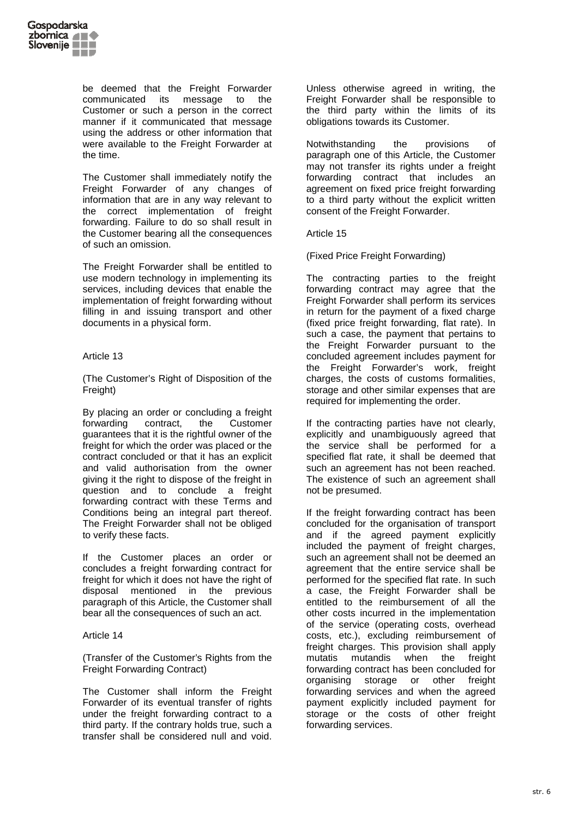

be deemed that the Freight Forwarder communicated its message to the Customer or such a person in the correct manner if it communicated that message using the address or other information that were available to the Freight Forwarder at the time.

The Customer shall immediately notify the Freight Forwarder of any changes of information that are in any way relevant to the correct implementation of freight forwarding. Failure to do so shall result in the Customer bearing all the consequences of such an omission.

The Freight Forwarder shall be entitled to use modern technology in implementing its services, including devices that enable the implementation of freight forwarding without filling in and issuing transport and other documents in a physical form.

# Article 13

(The Customer's Right of Disposition of the Freight)

By placing an order or concluding a freight forwarding contract, the Customer guarantees that it is the rightful owner of the freight for which the order was placed or the contract concluded or that it has an explicit and valid authorisation from the owner giving it the right to dispose of the freight in question and to conclude a freight forwarding contract with these Terms and Conditions being an integral part thereof. The Freight Forwarder shall not be obliged to verify these facts.

If the Customer places an order or concludes a freight forwarding contract for freight for which it does not have the right of disposal mentioned in the previous paragraph of this Article, the Customer shall bear all the consequences of such an act.

### Article 14

(Transfer of the Customer's Rights from the Freight Forwarding Contract)

The Customer shall inform the Freight Forwarder of its eventual transfer of rights under the freight forwarding contract to a third party. If the contrary holds true, such a transfer shall be considered null and void.

Unless otherwise agreed in writing, the Freight Forwarder shall be responsible to the third party within the limits of its obligations towards its Customer.

Notwithstanding the provisions of paragraph one of this Article, the Customer may not transfer its rights under a freight forwarding contract that includes an agreement on fixed price freight forwarding to a third party without the explicit written consent of the Freight Forwarder.

Article 15

(Fixed Price Freight Forwarding)

The contracting parties to the freight forwarding contract may agree that the Freight Forwarder shall perform its services in return for the payment of a fixed charge (fixed price freight forwarding, flat rate). In such a case, the payment that pertains to the Freight Forwarder pursuant to the concluded agreement includes payment for the Freight Forwarder's work, freight charges, the costs of customs formalities, storage and other similar expenses that are required for implementing the order.

If the contracting parties have not clearly, explicitly and unambiguously agreed that the service shall be performed for a specified flat rate, it shall be deemed that such an agreement has not been reached. The existence of such an agreement shall not be presumed.

If the freight forwarding contract has been concluded for the organisation of transport and if the agreed payment explicitly included the payment of freight charges, such an agreement shall not be deemed an agreement that the entire service shall be performed for the specified flat rate. In such a case, the Freight Forwarder shall be entitled to the reimbursement of all the other costs incurred in the implementation of the service (operating costs, overhead costs, etc.), excluding reimbursement of freight charges. This provision shall apply mutatis mutandis when the freight forwarding contract has been concluded for organising storage or other freight forwarding services and when the agreed payment explicitly included payment for storage or the costs of other freight forwarding services.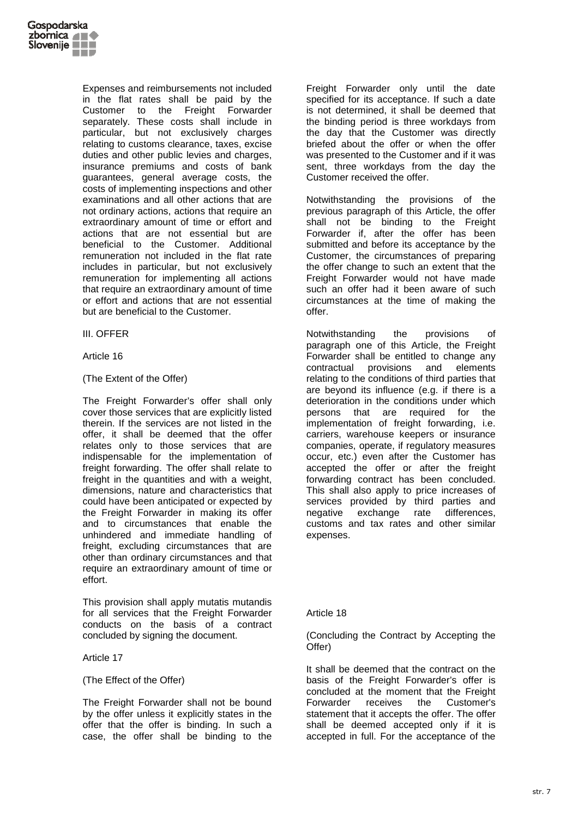

Expenses and reimbursements not included in the flat rates shall be paid by the Customer to the Freight Forwarder separately. These costs shall include in particular, but not exclusively charges relating to customs clearance, taxes, excise duties and other public levies and charges. insurance premiums and costs of bank guarantees, general average costs, the costs of implementing inspections and other examinations and all other actions that are not ordinary actions, actions that require an extraordinary amount of time or effort and actions that are not essential but are beneficial to the Customer. Additional remuneration not included in the flat rate includes in particular, but not exclusively remuneration for implementing all actions that require an extraordinary amount of time or effort and actions that are not essential but are beneficial to the Customer.

# III. OFFER

### Article 16

### (The Extent of the Offer)

The Freight Forwarder's offer shall only cover those services that are explicitly listed therein. If the services are not listed in the offer, it shall be deemed that the offer relates only to those services that are indispensable for the implementation of freight forwarding. The offer shall relate to freight in the quantities and with a weight, dimensions, nature and characteristics that could have been anticipated or expected by the Freight Forwarder in making its offer and to circumstances that enable the unhindered and immediate handling of freight, excluding circumstances that are other than ordinary circumstances and that require an extraordinary amount of time or effort.

This provision shall apply mutatis mutandis for all services that the Freight Forwarder conducts on the basis of a contract concluded by signing the document.

### Article 17

### (The Effect of the Offer)

The Freight Forwarder shall not be bound by the offer unless it explicitly states in the offer that the offer is binding. In such a case, the offer shall be binding to the

Freight Forwarder only until the date specified for its acceptance. If such a date is not determined, it shall be deemed that the binding period is three workdays from the day that the Customer was directly briefed about the offer or when the offer was presented to the Customer and if it was sent, three workdays from the day the Customer received the offer.

Notwithstanding the provisions of the previous paragraph of this Article, the offer shall not be binding to the Freight Forwarder if, after the offer has been submitted and before its acceptance by the Customer, the circumstances of preparing the offer change to such an extent that the Freight Forwarder would not have made such an offer had it been aware of such circumstances at the time of making the offer.

Notwithstanding the provisions of paragraph one of this Article, the Freight Forwarder shall be entitled to change any contractual provisions and elements relating to the conditions of third parties that are beyond its influence (e.g. if there is a deterioration in the conditions under which persons that are required for the implementation of freight forwarding, i.e. carriers, warehouse keepers or insurance companies, operate, if regulatory measures occur, etc.) even after the Customer has accepted the offer or after the freight forwarding contract has been concluded. This shall also apply to price increases of services provided by third parties and negative exchange rate differences, customs and tax rates and other similar expenses.

### Article 18

# (Concluding the Contract by Accepting the Offer)

It shall be deemed that the contract on the basis of the Freight Forwarder's offer is concluded at the moment that the Freight Forwarder receives the Customer's statement that it accepts the offer. The offer shall be deemed accepted only if it is accepted in full. For the acceptance of the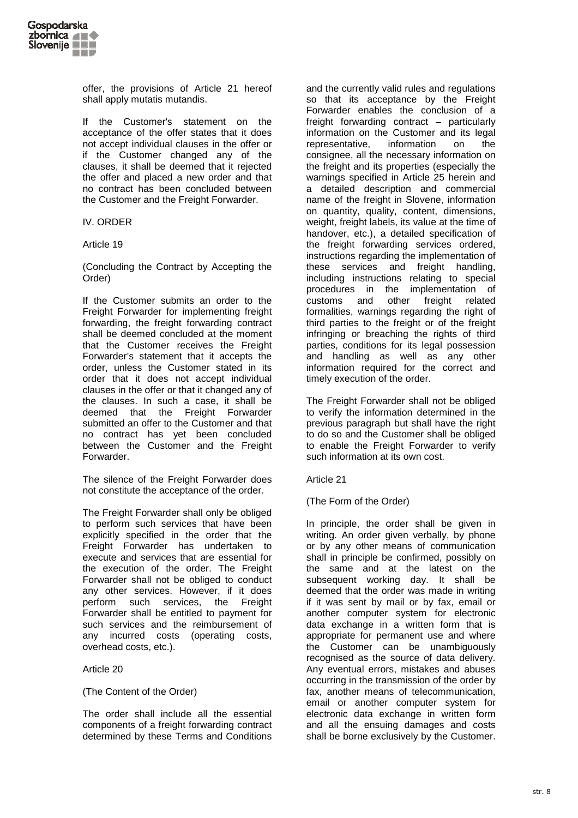

offer, the provisions of Article 21 hereof shall apply mutatis mutandis.

If the Customer's statement on the acceptance of the offer states that it does not accept individual clauses in the offer or if the Customer changed any of the clauses, it shall be deemed that it rejected the offer and placed a new order and that no contract has been concluded between the Customer and the Freight Forwarder.

### IV. ORDER

Article 19

(Concluding the Contract by Accepting the Order)

If the Customer submits an order to the Freight Forwarder for implementing freight forwarding, the freight forwarding contract shall be deemed concluded at the moment that the Customer receives the Freight Forwarder's statement that it accepts the order, unless the Customer stated in its order that it does not accept individual clauses in the offer or that it changed any of the clauses. In such a case, it shall be deemed that the Freight Forwarder submitted an offer to the Customer and that no contract has yet been concluded between the Customer and the Freight Forwarder.

The silence of the Freight Forwarder does not constitute the acceptance of the order.

The Freight Forwarder shall only be obliged to perform such services that have been explicitly specified in the order that the Freight Forwarder has undertaken to execute and services that are essential for the execution of the order. The Freight Forwarder shall not be obliged to conduct any other services. However, if it does perform such services, the Freight Forwarder shall be entitled to payment for such services and the reimbursement of any incurred costs (operating costs, overhead costs, etc.).

Article 20

(The Content of the Order)

The order shall include all the essential components of a freight forwarding contract determined by these Terms and Conditions

and the currently valid rules and regulations so that its acceptance by the Freight Forwarder enables the conclusion of a freight forwarding contract – particularly information on the Customer and its legal representative, information on the consignee, all the necessary information on the freight and its properties (especially the warnings specified in Article 25 herein and a detailed description and commercial name of the freight in Slovene, information on quantity, quality, content, dimensions, weight, freight labels, its value at the time of handover, etc.), a detailed specification of the freight forwarding services ordered, instructions regarding the implementation of these services and freight handling, including instructions relating to special procedures in the implementation of customs and other freight related formalities, warnings regarding the right of third parties to the freight or of the freight infringing or breaching the rights of third parties, conditions for its legal possession and handling as well as any other information required for the correct and timely execution of the order.

The Freight Forwarder shall not be obliged to verify the information determined in the previous paragraph but shall have the right to do so and the Customer shall be obliged to enable the Freight Forwarder to verify such information at its own cost.

Article 21

(The Form of the Order)

In principle, the order shall be given in writing. An order given verbally, by phone or by any other means of communication shall in principle be confirmed, possibly on the same and at the latest on the subsequent working day. It shall be deemed that the order was made in writing if it was sent by mail or by fax, email or another computer system for electronic data exchange in a written form that is appropriate for permanent use and where the Customer can be unambiguously recognised as the source of data delivery. Any eventual errors, mistakes and abuses occurring in the transmission of the order by fax, another means of telecommunication, email or another computer system for electronic data exchange in written form and all the ensuing damages and costs shall be borne exclusively by the Customer.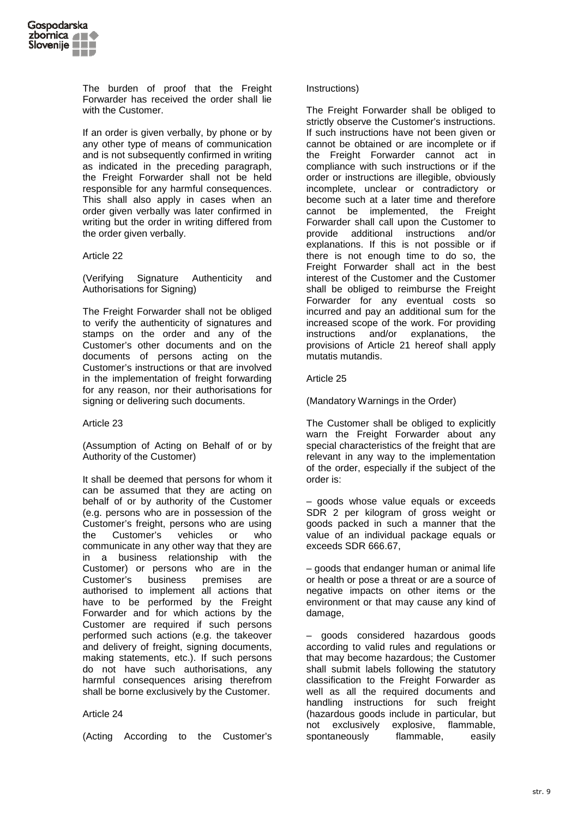

The burden of proof that the Freight Forwarder has received the order shall lie with the Customer.

If an order is given verbally, by phone or by any other type of means of communication and is not subsequently confirmed in writing as indicated in the preceding paragraph, the Freight Forwarder shall not be held responsible for any harmful consequences. This shall also apply in cases when an order given verbally was later confirmed in writing but the order in writing differed from the order given verbally.

### Article 22

(Verifying Signature Authenticity and Authorisations for Signing)

The Freight Forwarder shall not be obliged to verify the authenticity of signatures and stamps on the order and any of the Customer's other documents and on the documents of persons acting on the Customer's instructions or that are involved in the implementation of freight forwarding for any reason, nor their authorisations for signing or delivering such documents.

### Article 23

(Assumption of Acting on Behalf of or by Authority of the Customer)

It shall be deemed that persons for whom it can be assumed that they are acting on behalf of or by authority of the Customer (e.g. persons who are in possession of the Customer's freight, persons who are using the Customer's vehicles or who communicate in any other way that they are in a business relationship with the Customer) or persons who are in the Customer's business premises are authorised to implement all actions that have to be performed by the Freight Forwarder and for which actions by the Customer are required if such persons performed such actions (e.g. the takeover and delivery of freight, signing documents, making statements, etc.). If such persons do not have such authorisations, any harmful consequences arising therefrom shall be borne exclusively by the Customer.

### Article 24

(Acting According to the Customer's

#### Instructions)

The Freight Forwarder shall be obliged to strictly observe the Customer's instructions. If such instructions have not been given or cannot be obtained or are incomplete or if the Freight Forwarder cannot act in compliance with such instructions or if the order or instructions are illegible, obviously incomplete, unclear or contradictory or become such at a later time and therefore cannot be implemented, the Freight Forwarder shall call upon the Customer to provide additional instructions and/or explanations. If this is not possible or if there is not enough time to do so, the Freight Forwarder shall act in the best interest of the Customer and the Customer shall be obliged to reimburse the Freight Forwarder for any eventual costs so incurred and pay an additional sum for the increased scope of the work. For providing instructions and/or explanations, the provisions of Article 21 hereof shall apply mutatis mutandis.

#### Article 25

(Mandatory Warnings in the Order)

The Customer shall be obliged to explicitly warn the Freight Forwarder about any special characteristics of the freight that are relevant in any way to the implementation of the order, especially if the subject of the order is:

– goods whose value equals or exceeds SDR 2 per kilogram of gross weight or goods packed in such a manner that the value of an individual package equals or exceeds SDR 666.67,

– goods that endanger human or animal life or health or pose a threat or are a source of negative impacts on other items or the environment or that may cause any kind of damage,

– goods considered hazardous goods according to valid rules and regulations or that may become hazardous; the Customer shall submit labels following the statutory classification to the Freight Forwarder as well as all the required documents and handling instructions for such freight (hazardous goods include in particular, but not exclusively explosive, flammable, spontaneously flammable, easily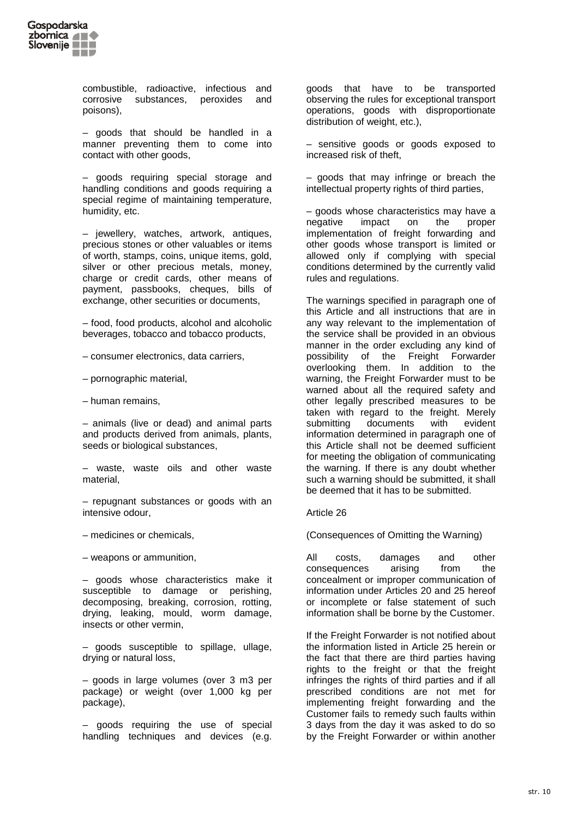

combustible, radioactive, infectious and<br>corrosive substances, peroxides and corrosive substances, peroxides and poisons),

– goods that should be handled in a manner preventing them to come into contact with other goods,

– goods requiring special storage and handling conditions and goods requiring a special regime of maintaining temperature, humidity, etc.

– jewellery, watches, artwork, antiques, precious stones or other valuables or items of worth, stamps, coins, unique items, gold, silver or other precious metals, money, charge or credit cards, other means of payment, passbooks, cheques, bills of exchange, other securities or documents,

– food, food products, alcohol and alcoholic beverages, tobacco and tobacco products,

- consumer electronics, data carriers,
- pornographic material,
- human remains,

– animals (live or dead) and animal parts and products derived from animals, plants, seeds or biological substances,

– waste, waste oils and other waste material,

– repugnant substances or goods with an intensive odour,

– medicines or chemicals,

– weapons or ammunition,

– goods whose characteristics make it susceptible to damage or perishing, decomposing, breaking, corrosion, rotting, drying, leaking, mould, worm damage, insects or other vermin,

– goods susceptible to spillage, ullage, drying or natural loss,

– goods in large volumes (over 3 m3 per package) or weight (over 1,000 kg per package),

– goods requiring the use of special handling techniques and devices (e.g. goods that have to be transported observing the rules for exceptional transport operations, goods with disproportionate distribution of weight, etc.),

– sensitive goods or goods exposed to increased risk of theft,

– goods that may infringe or breach the intellectual property rights of third parties,

– goods whose characteristics may have a negative impact on the proper implementation of freight forwarding and other goods whose transport is limited or allowed only if complying with special conditions determined by the currently valid rules and regulations.

The warnings specified in paragraph one of this Article and all instructions that are in any way relevant to the implementation of the service shall be provided in an obvious manner in the order excluding any kind of possibility of the Freight Forwarder overlooking them. In addition to the warning, the Freight Forwarder must to be warned about all the required safety and other legally prescribed measures to be taken with regard to the freight. Merely<br>submitting documents with evident documents with evident information determined in paragraph one of this Article shall not be deemed sufficient for meeting the obligation of communicating the warning. If there is any doubt whether such a warning should be submitted, it shall be deemed that it has to be submitted.

### Article 26

(Consequences of Omitting the Warning)

All costs, damages and other consequences arising from the concealment or improper communication of information under Articles 20 and 25 hereof or incomplete or false statement of such information shall be borne by the Customer.

If the Freight Forwarder is not notified about the information listed in Article 25 herein or the fact that there are third parties having rights to the freight or that the freight infringes the rights of third parties and if all prescribed conditions are not met for implementing freight forwarding and the Customer fails to remedy such faults within 3 days from the day it was asked to do so by the Freight Forwarder or within another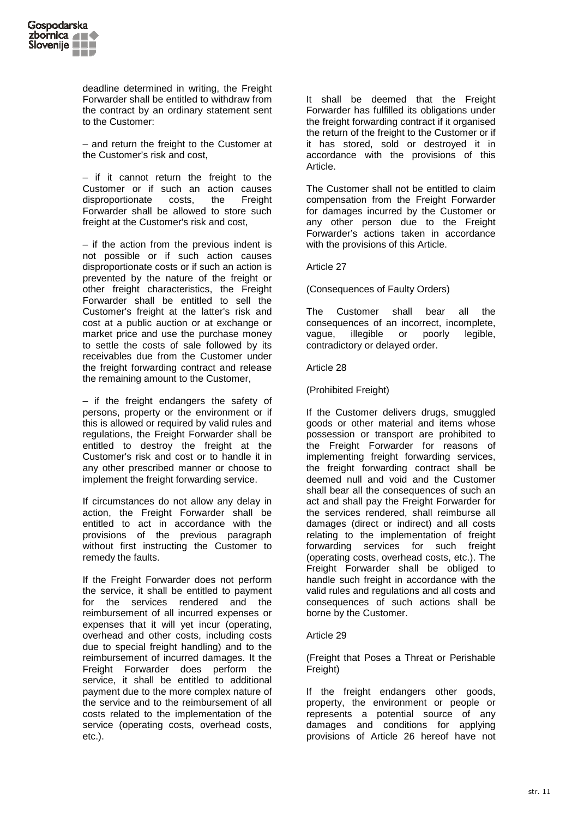

deadline determined in writing, the Freight Forwarder shall be entitled to withdraw from the contract by an ordinary statement sent to the Customer:

– and return the freight to the Customer at the Customer's risk and cost,

– if it cannot return the freight to the Customer or if such an action causes disproportionate costs, the Freight Forwarder shall be allowed to store such freight at the Customer's risk and cost,

– if the action from the previous indent is not possible or if such action causes disproportionate costs or if such an action is prevented by the nature of the freight or other freight characteristics, the Freight Forwarder shall be entitled to sell the Customer's freight at the latter's risk and cost at a public auction or at exchange or market price and use the purchase money to settle the costs of sale followed by its receivables due from the Customer under the freight forwarding contract and release the remaining amount to the Customer,

– if the freight endangers the safety of persons, property or the environment or if this is allowed or required by valid rules and regulations, the Freight Forwarder shall be entitled to destroy the freight at the Customer's risk and cost or to handle it in any other prescribed manner or choose to implement the freight forwarding service.

If circumstances do not allow any delay in action, the Freight Forwarder shall be entitled to act in accordance with the provisions of the previous paragraph without first instructing the Customer to remedy the faults.

If the Freight Forwarder does not perform the service, it shall be entitled to payment for the services rendered and the reimbursement of all incurred expenses or expenses that it will yet incur (operating, overhead and other costs, including costs due to special freight handling) and to the reimbursement of incurred damages. It the Freight Forwarder does perform the service, it shall be entitled to additional payment due to the more complex nature of the service and to the reimbursement of all costs related to the implementation of the service (operating costs, overhead costs, etc.).

It shall be deemed that the Freight Forwarder has fulfilled its obligations under the freight forwarding contract if it organised the return of the freight to the Customer or if it has stored, sold or destroyed it in accordance with the provisions of this Article.

The Customer shall not be entitled to claim compensation from the Freight Forwarder for damages incurred by the Customer or any other person due to the Freight Forwarder's actions taken in accordance with the provisions of this Article.

Article 27

(Consequences of Faulty Orders)

The Customer shall bear all the consequences of an incorrect, incomplete, vague, illegible or poorly legible, contradictory or delayed order.

Article 28

(Prohibited Freight)

If the Customer delivers drugs, smuggled goods or other material and items whose possession or transport are prohibited to the Freight Forwarder for reasons of implementing freight forwarding services, the freight forwarding contract shall be deemed null and void and the Customer shall bear all the consequences of such an act and shall pay the Freight Forwarder for the services rendered, shall reimburse all damages (direct or indirect) and all costs relating to the implementation of freight forwarding services for such freight (operating costs, overhead costs, etc.). The Freight Forwarder shall be obliged to handle such freight in accordance with the valid rules and regulations and all costs and consequences of such actions shall be borne by the Customer.

# Article 29

(Freight that Poses a Threat or Perishable Freight)

If the freight endangers other goods, property, the environment or people or represents a potential source of any damages and conditions for applying provisions of Article 26 hereof have not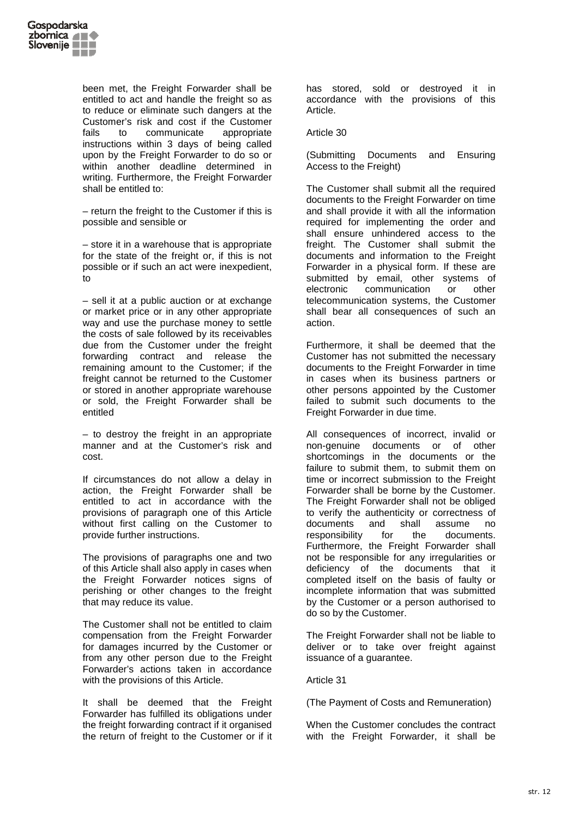

been met, the Freight Forwarder shall be entitled to act and handle the freight so as to reduce or eliminate such dangers at the Customer's risk and cost if the Customer fails to communicate appropriate instructions within 3 days of being called upon by the Freight Forwarder to do so or within another deadline determined in writing. Furthermore, the Freight Forwarder shall be entitled to:

– return the freight to the Customer if this is possible and sensible or

– store it in a warehouse that is appropriate for the state of the freight or, if this is not possible or if such an act were inexpedient, to

– sell it at a public auction or at exchange or market price or in any other appropriate way and use the purchase money to settle the costs of sale followed by its receivables due from the Customer under the freight forwarding contract and release the remaining amount to the Customer; if the freight cannot be returned to the Customer or stored in another appropriate warehouse or sold, the Freight Forwarder shall be entitled

– to destroy the freight in an appropriate manner and at the Customer's risk and cost.

If circumstances do not allow a delay in action, the Freight Forwarder shall be entitled to act in accordance with the provisions of paragraph one of this Article without first calling on the Customer to provide further instructions.

The provisions of paragraphs one and two of this Article shall also apply in cases when the Freight Forwarder notices signs of perishing or other changes to the freight that may reduce its value.

The Customer shall not be entitled to claim compensation from the Freight Forwarder for damages incurred by the Customer or from any other person due to the Freight Forwarder's actions taken in accordance with the provisions of this Article.

It shall be deemed that the Freight Forwarder has fulfilled its obligations under the freight forwarding contract if it organised the return of freight to the Customer or if it has stored, sold or destroyed it in accordance with the provisions of this Article.

### Article 30

(Submitting Documents and Ensuring Access to the Freight)

The Customer shall submit all the required documents to the Freight Forwarder on time and shall provide it with all the information required for implementing the order and shall ensure unhindered access to the freight. The Customer shall submit the documents and information to the Freight Forwarder in a physical form. If these are submitted by email, other systems of electronic communication or other telecommunication systems, the Customer shall bear all consequences of such an action.

Furthermore, it shall be deemed that the Customer has not submitted the necessary documents to the Freight Forwarder in time in cases when its business partners or other persons appointed by the Customer failed to submit such documents to the Freight Forwarder in due time.

All consequences of incorrect, invalid or non-genuine documents or of other shortcomings in the documents or the failure to submit them, to submit them on time or incorrect submission to the Freight Forwarder shall be borne by the Customer. The Freight Forwarder shall not be obliged to verify the authenticity or correctness of documents and shall assume no responsibility for the documents. Furthermore, the Freight Forwarder shall not be responsible for any irregularities or deficiency of the documents that it completed itself on the basis of faulty or incomplete information that was submitted by the Customer or a person authorised to do so by the Customer.

The Freight Forwarder shall not be liable to deliver or to take over freight against issuance of a guarantee.

### Article 31

(The Payment of Costs and Remuneration)

When the Customer concludes the contract with the Freight Forwarder, it shall be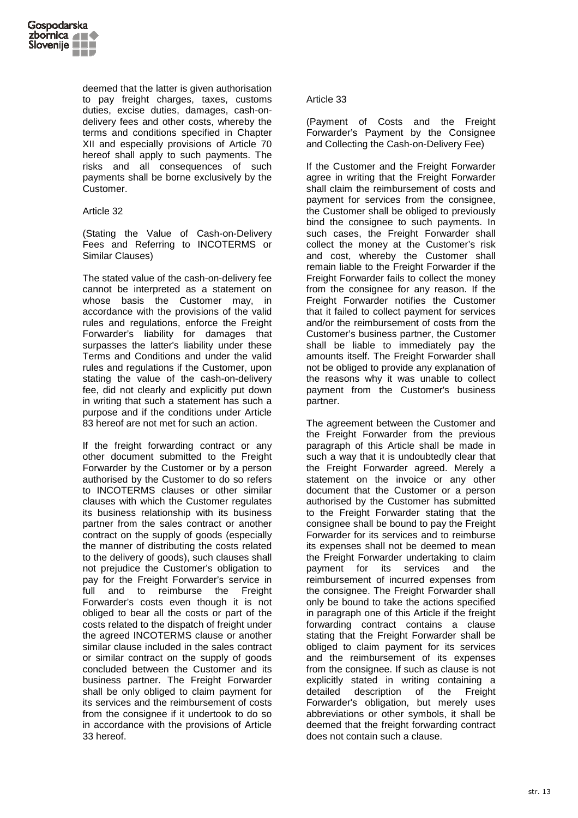

deemed that the latter is given authorisation to pay freight charges, taxes, customs duties, excise duties, damages, cash-ondelivery fees and other costs, whereby the terms and conditions specified in Chapter XII and especially provisions of Article 70 hereof shall apply to such payments. The risks and all consequences of such payments shall be borne exclusively by the Customer.

# Article 32

(Stating the Value of Cash-on-Delivery Fees and Referring to INCOTERMS or Similar Clauses)

The stated value of the cash-on-delivery fee cannot be interpreted as a statement on whose basis the Customer may, in accordance with the provisions of the valid rules and regulations, enforce the Freight Forwarder's liability for damages that surpasses the latter's liability under these Terms and Conditions and under the valid rules and regulations if the Customer, upon stating the value of the cash-on-delivery fee, did not clearly and explicitly put down in writing that such a statement has such a purpose and if the conditions under Article 83 hereof are not met for such an action.

If the freight forwarding contract or any other document submitted to the Freight Forwarder by the Customer or by a person authorised by the Customer to do so refers to INCOTERMS clauses or other similar clauses with which the Customer regulates its business relationship with its business partner from the sales contract or another contract on the supply of goods (especially the manner of distributing the costs related to the delivery of goods), such clauses shall not prejudice the Customer's obligation to pay for the Freight Forwarder's service in full and to reimburse the Freight Forwarder's costs even though it is not obliged to bear all the costs or part of the costs related to the dispatch of freight under the agreed INCOTERMS clause or another similar clause included in the sales contract or similar contract on the supply of goods concluded between the Customer and its business partner. The Freight Forwarder shall be only obliged to claim payment for its services and the reimbursement of costs from the consignee if it undertook to do so in accordance with the provisions of Article 33 hereof.

# Article 33

(Payment of Costs and the Freight Forwarder's Payment by the Consignee and Collecting the Cash-on-Delivery Fee)

If the Customer and the Freight Forwarder agree in writing that the Freight Forwarder shall claim the reimbursement of costs and payment for services from the consignee, the Customer shall be obliged to previously bind the consignee to such payments. In such cases, the Freight Forwarder shall collect the money at the Customer's risk and cost, whereby the Customer shall remain liable to the Freight Forwarder if the Freight Forwarder fails to collect the money from the consignee for any reason. If the Freight Forwarder notifies the Customer that it failed to collect payment for services and/or the reimbursement of costs from the Customer's business partner, the Customer shall be liable to immediately pay the amounts itself. The Freight Forwarder shall not be obliged to provide any explanation of the reasons why it was unable to collect payment from the Customer's business partner.

The agreement between the Customer and the Freight Forwarder from the previous paragraph of this Article shall be made in such a way that it is undoubtedly clear that the Freight Forwarder agreed. Merely a statement on the invoice or any other document that the Customer or a person authorised by the Customer has submitted to the Freight Forwarder stating that the consignee shall be bound to pay the Freight Forwarder for its services and to reimburse its expenses shall not be deemed to mean the Freight Forwarder undertaking to claim payment for its services and the reimbursement of incurred expenses from the consignee. The Freight Forwarder shall only be bound to take the actions specified in paragraph one of this Article if the freight forwarding contract contains a clause stating that the Freight Forwarder shall be obliged to claim payment for its services and the reimbursement of its expenses from the consignee. If such as clause is not explicitly stated in writing containing a<br>detailed description of the Freight detailed description of the Forwarder's obligation, but merely uses abbreviations or other symbols, it shall be deemed that the freight forwarding contract does not contain such a clause.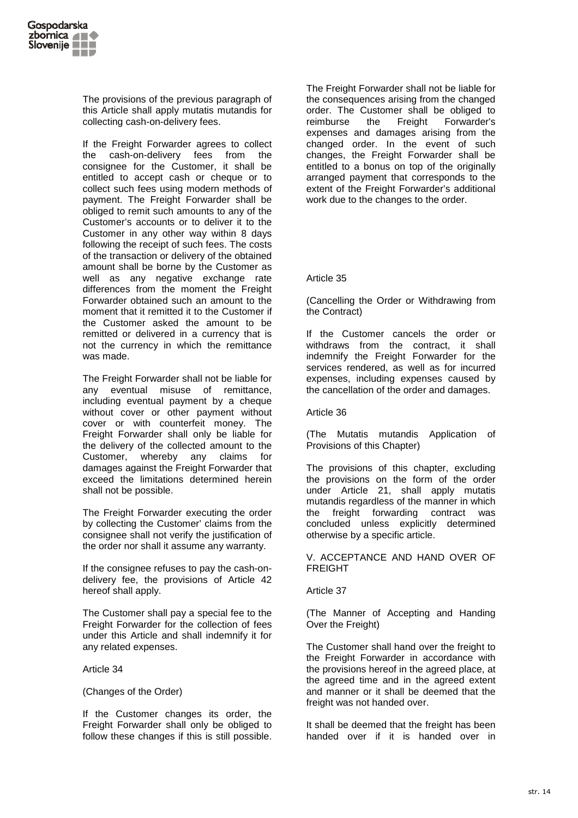

The provisions of the previous paragraph of this Article shall apply mutatis mutandis for collecting cash-on-delivery fees.

If the Freight Forwarder agrees to collect the cash-on-delivery fees from the consignee for the Customer, it shall be entitled to accept cash or cheque or to collect such fees using modern methods of payment. The Freight Forwarder shall be obliged to remit such amounts to any of the Customer's accounts or to deliver it to the Customer in any other way within 8 days following the receipt of such fees. The costs of the transaction or delivery of the obtained amount shall be borne by the Customer as well as any negative exchange rate differences from the moment the Freight Forwarder obtained such an amount to the moment that it remitted it to the Customer if the Customer asked the amount to be remitted or delivered in a currency that is not the currency in which the remittance was made.

The Freight Forwarder shall not be liable for any eventual misuse of remittance, including eventual payment by a cheque without cover or other payment without cover or with counterfeit money. The Freight Forwarder shall only be liable for the delivery of the collected amount to the Customer, whereby any claims for damages against the Freight Forwarder that exceed the limitations determined herein shall not be possible.

The Freight Forwarder executing the order by collecting the Customer' claims from the consignee shall not verify the justification of the order nor shall it assume any warranty.

If the consignee refuses to pay the cash-ondelivery fee, the provisions of Article 42 hereof shall apply.

The Customer shall pay a special fee to the Freight Forwarder for the collection of fees under this Article and shall indemnify it for any related expenses.

Article 34

(Changes of the Order)

If the Customer changes its order, the Freight Forwarder shall only be obliged to follow these changes if this is still possible.

The Freight Forwarder shall not be liable for the consequences arising from the changed order. The Customer shall be obliged to reimburse the Freight Forwarder's expenses and damages arising from the changed order. In the event of such changes, the Freight Forwarder shall be entitled to a bonus on top of the originally arranged payment that corresponds to the extent of the Freight Forwarder's additional work due to the changes to the order.

# Article 35

(Cancelling the Order or Withdrawing from the Contract)

If the Customer cancels the order or withdraws from the contract, it shall indemnify the Freight Forwarder for the services rendered, as well as for incurred expenses, including expenses caused by the cancellation of the order and damages.

Article 36

(The Mutatis mutandis Application of Provisions of this Chapter)

The provisions of this chapter, excluding the provisions on the form of the order under Article 21, shall apply mutatis mutandis regardless of the manner in which the freight forwarding contract was concluded unless explicitly determined otherwise by a specific article.

V. ACCEPTANCE AND HAND OVER OF FREIGHT

Article 37

(The Manner of Accepting and Handing Over the Freight)

The Customer shall hand over the freight to the Freight Forwarder in accordance with the provisions hereof in the agreed place, at the agreed time and in the agreed extent and manner or it shall be deemed that the freight was not handed over.

It shall be deemed that the freight has been handed over if it is handed over in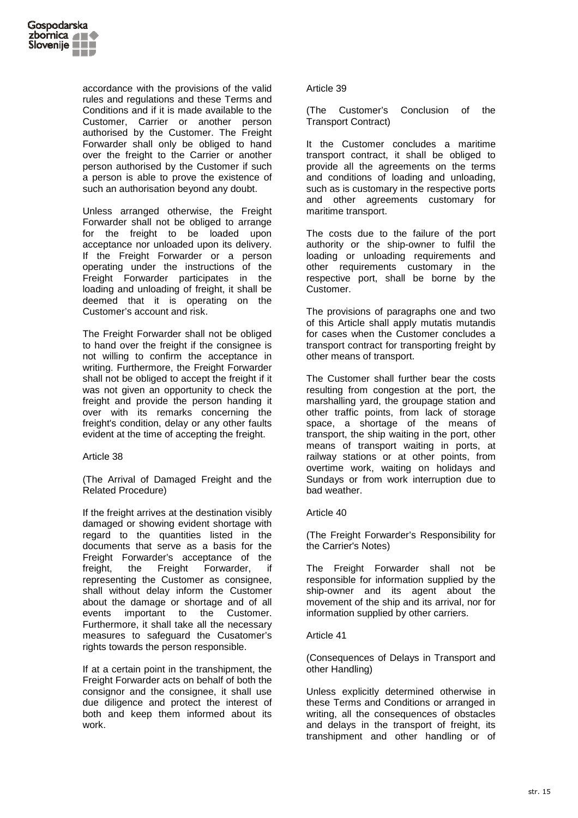

accordance with the provisions of the valid rules and regulations and these Terms and Conditions and if it is made available to the Customer, Carrier or another person authorised by the Customer. The Freight Forwarder shall only be obliged to hand over the freight to the Carrier or another person authorised by the Customer if such a person is able to prove the existence of such an authorisation beyond any doubt.

Unless arranged otherwise, the Freight Forwarder shall not be obliged to arrange for the freight to be loaded upon acceptance nor unloaded upon its delivery. If the Freight Forwarder or a person operating under the instructions of the Freight Forwarder participates in the loading and unloading of freight, it shall be deemed that it is operating on the Customer's account and risk.

The Freight Forwarder shall not be obliged to hand over the freight if the consignee is not willing to confirm the acceptance in writing. Furthermore, the Freight Forwarder shall not be obliged to accept the freight if it was not given an opportunity to check the freight and provide the person handing it over with its remarks concerning the freight's condition, delay or any other faults evident at the time of accepting the freight.

Article 38

(The Arrival of Damaged Freight and the Related Procedure)

If the freight arrives at the destination visibly damaged or showing evident shortage with regard to the quantities listed in the documents that serve as a basis for the Freight Forwarder's acceptance of the<br>freight, the Freight Forwarder, if freight, the Freight Forwarder, if representing the Customer as consignee, shall without delay inform the Customer about the damage or shortage and of all events important to the Customer. Furthermore, it shall take all the necessary measures to safeguard the Cusatomer's rights towards the person responsible.

If at a certain point in the transhipment, the Freight Forwarder acts on behalf of both the consignor and the consignee, it shall use due diligence and protect the interest of both and keep them informed about its work.

Article 39

(The Customer's Conclusion of the Transport Contract)

It the Customer concludes a maritime transport contract, it shall be obliged to provide all the agreements on the terms and conditions of loading and unloading, such as is customary in the respective ports and other agreements customary for maritime transport.

The costs due to the failure of the port authority or the ship-owner to fulfil the loading or unloading requirements and other requirements customary in the respective port, shall be borne by the Customer.

The provisions of paragraphs one and two of this Article shall apply mutatis mutandis for cases when the Customer concludes a transport contract for transporting freight by other means of transport.

The Customer shall further bear the costs resulting from congestion at the port, the marshalling yard, the groupage station and other traffic points, from lack of storage space, a shortage of the means of transport, the ship waiting in the port, other means of transport waiting in ports, at railway stations or at other points, from overtime work, waiting on holidays and Sundays or from work interruption due to bad weather.

### Article 40

(The Freight Forwarder's Responsibility for the Carrier's Notes)

The Freight Forwarder shall not be responsible for information supplied by the ship-owner and its agent about the movement of the ship and its arrival, nor for information supplied by other carriers.

### Article 41

(Consequences of Delays in Transport and other Handling)

Unless explicitly determined otherwise in these Terms and Conditions or arranged in writing, all the consequences of obstacles and delays in the transport of freight, its transhipment and other handling or of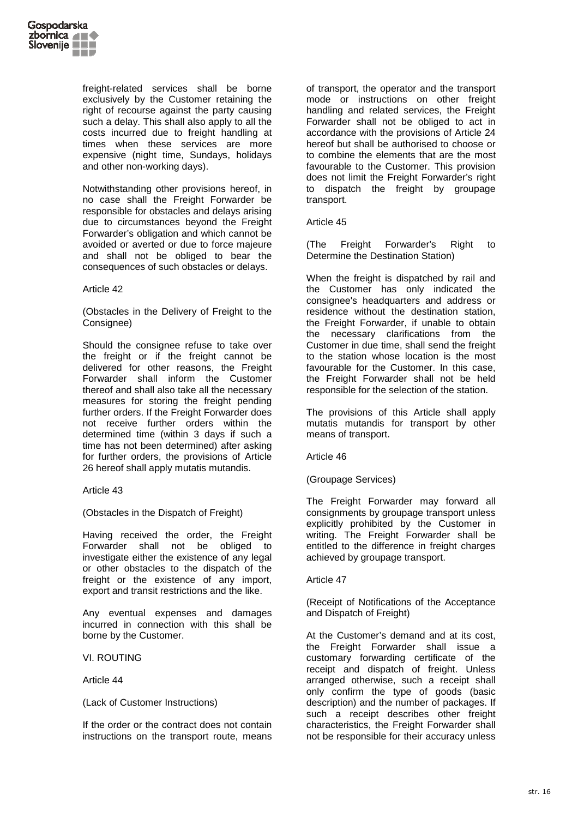

freight-related services shall be borne exclusively by the Customer retaining the right of recourse against the party causing such a delay. This shall also apply to all the costs incurred due to freight handling at times when these services are more expensive (night time, Sundays, holidays and other non-working days).

Notwithstanding other provisions hereof, in no case shall the Freight Forwarder be responsible for obstacles and delays arising due to circumstances beyond the Freight Forwarder's obligation and which cannot be avoided or averted or due to force majeure and shall not be obliged to bear the consequences of such obstacles or delays.

### Article 42

(Obstacles in the Delivery of Freight to the Consignee)

Should the consignee refuse to take over the freight or if the freight cannot be delivered for other reasons, the Freight Forwarder shall inform the Customer thereof and shall also take all the necessary measures for storing the freight pending further orders. If the Freight Forwarder does not receive further orders within the determined time (within 3 days if such a time has not been determined) after asking for further orders, the provisions of Article 26 hereof shall apply mutatis mutandis.

Article 43

(Obstacles in the Dispatch of Freight)

Having received the order, the Freight Forwarder shall not be obliged to investigate either the existence of any legal or other obstacles to the dispatch of the freight or the existence of any import, export and transit restrictions and the like.

Any eventual expenses and damages incurred in connection with this shall be borne by the Customer.

VI. ROUTING

Article 44

(Lack of Customer Instructions)

If the order or the contract does not contain instructions on the transport route, means

of transport, the operator and the transport mode or instructions on other freight handling and related services, the Freight Forwarder shall not be obliged to act in accordance with the provisions of Article 24 hereof but shall be authorised to choose or to combine the elements that are the most favourable to the Customer. This provision does not limit the Freight Forwarder's right to dispatch the freight by groupage transport.

Article 45

(The Freight Forwarder's Right to Determine the Destination Station)

When the freight is dispatched by rail and the Customer has only indicated the consignee's headquarters and address or residence without the destination station, the Freight Forwarder, if unable to obtain the necessary clarifications from the Customer in due time, shall send the freight to the station whose location is the most favourable for the Customer. In this case, the Freight Forwarder shall not be held responsible for the selection of the station.

The provisions of this Article shall apply mutatis mutandis for transport by other means of transport.

Article 46

(Groupage Services)

The Freight Forwarder may forward all consignments by groupage transport unless explicitly prohibited by the Customer in writing. The Freight Forwarder shall be entitled to the difference in freight charges achieved by groupage transport.

Article 47

(Receipt of Notifications of the Acceptance and Dispatch of Freight)

At the Customer's demand and at its cost, the Freight Forwarder shall issue a customary forwarding certificate of the receipt and dispatch of freight. Unless arranged otherwise, such a receipt shall only confirm the type of goods (basic description) and the number of packages. If such a receipt describes other freight characteristics, the Freight Forwarder shall not be responsible for their accuracy unless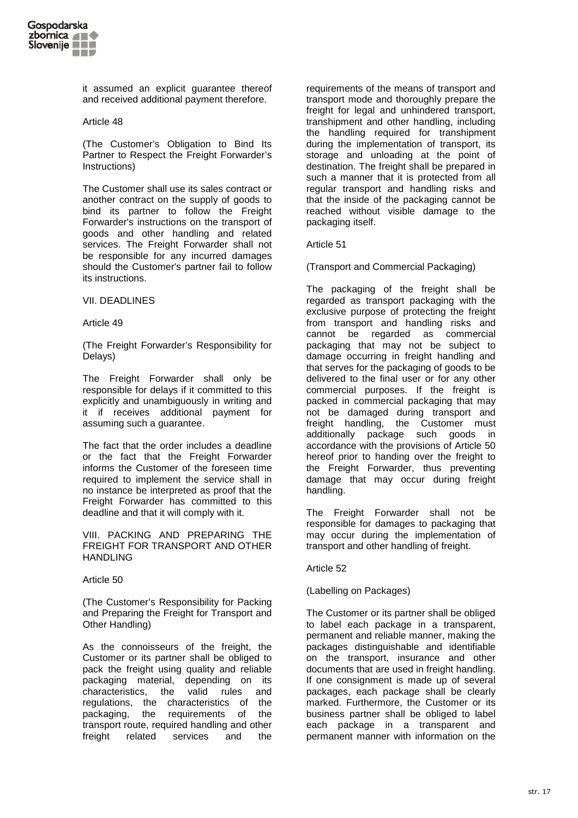

it assumed an explicit guarantee thereof and received additional payment therefore.

### Article 48

(The Customer's Obligation to Bind Its Partner to Respect the Freight Forwarder's Instructions)

The Customer shall use its sales contract or another contract on the supply of goods to bind its partner to follow the Freight Forwarder's instructions on the transport of goods and other handling and related services. The Freight Forwarder shall not be responsible for any incurred damages should the Customer's partner fail to follow its instructions.

#### VII. DEADLINES

Article 49

(The Freight Forwarder's Responsibility for Delays)

The Freight Forwarder shall only be responsible for delays if it committed to this explicitly and unambiguously in writing and it if receives additional payment for assuming such a guarantee.

The fact that the order includes a deadline or the fact that the Freight Forwarder informs the Customer of the foreseen time required to implement the service shall in no instance be interpreted as proof that the Freight Forwarder has committed to this deadline and that it will comply with it.

VIII. PACKING AND PREPARING THE FREIGHT FOR TRANSPORT AND OTHER **HANDLING** 

### Article 50

(The Customer's Responsibility for Packing and Preparing the Freight for Transport and Other Handling)

As the connoisseurs of the freight, the Customer or its partner shall be obliged to pack the freight using quality and reliable packaging material, depending on its characteristics, the valid rules and regulations, the characteristics of the packaging, the requirements of the transport route, required handling and other freight related services and the

requirements of the means of transport and transport mode and thoroughly prepare the freight for legal and unhindered transport, transhipment and other handling, including the handling required for transhipment during the implementation of transport, its storage and unloading at the point of destination. The freight shall be prepared in such a manner that it is protected from all regular transport and handling risks and that the inside of the packaging cannot be reached without visible damage to the packaging itself.

Article 51

(Transport and Commercial Packaging)

The packaging of the freight shall be regarded as transport packaging with the exclusive purpose of protecting the freight from transport and handling risks and cannot be regarded as commercial packaging that may not be subject to damage occurring in freight handling and that serves for the packaging of goods to be delivered to the final user or for any other commercial purposes. If the freight is packed in commercial packaging that may not be damaged during transport and freight handling, the Customer must additionally package such goods in accordance with the provisions of Article 50 hereof prior to handing over the freight to the Freight Forwarder, thus preventing damage that may occur during freight handling.

The Freight Forwarder shall not be responsible for damages to packaging that may occur during the implementation of transport and other handling of freight.

## Article 52

(Labelling on Packages)

The Customer or its partner shall be obliged to label each package in a transparent, permanent and reliable manner, making the packages distinguishable and identifiable on the transport, insurance and other documents that are used in freight handling. If one consignment is made up of several packages, each package shall be clearly marked. Furthermore, the Customer or its business partner shall be obliged to label each package in a transparent and permanent manner with information on the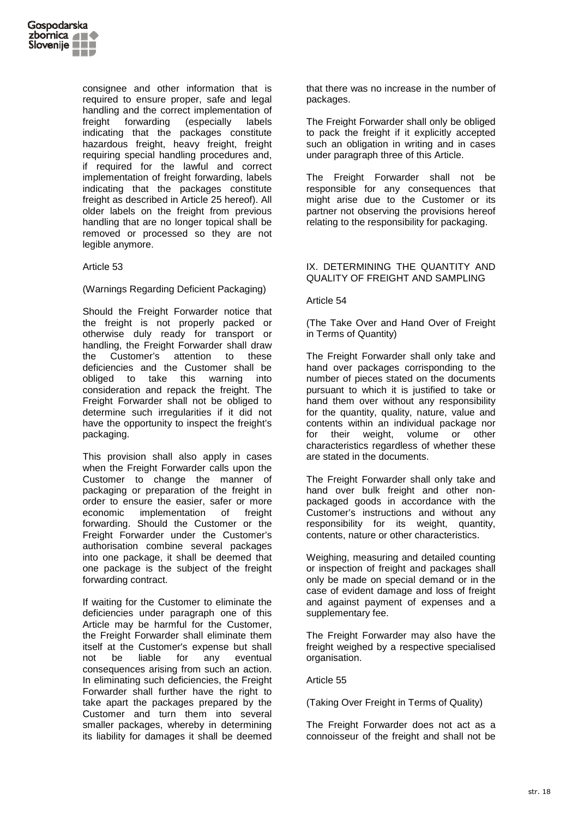

consignee and other information that is required to ensure proper, safe and legal handling and the correct implementation of freight forwarding (especially labels indicating that the packages constitute hazardous freight, heavy freight, freight requiring special handling procedures and, if required for the lawful and correct implementation of freight forwarding, labels indicating that the packages constitute freight as described in Article 25 hereof). All older labels on the freight from previous handling that are no longer topical shall be removed or processed so they are not legible anymore.

### Article 53

# (Warnings Regarding Deficient Packaging)

Should the Freight Forwarder notice that the freight is not properly packed or otherwise duly ready for transport or handling, the Freight Forwarder shall draw the Customer's attention to these deficiencies and the Customer shall be obliged to take this warning into consideration and repack the freight. The Freight Forwarder shall not be obliged to determine such irregularities if it did not have the opportunity to inspect the freight's packaging.

This provision shall also apply in cases when the Freight Forwarder calls upon the Customer to change the manner of packaging or preparation of the freight in order to ensure the easier, safer or more economic implementation of freight forwarding. Should the Customer or the Freight Forwarder under the Customer's authorisation combine several packages into one package, it shall be deemed that one package is the subject of the freight forwarding contract.

If waiting for the Customer to eliminate the deficiencies under paragraph one of this Article may be harmful for the Customer, the Freight Forwarder shall eliminate them itself at the Customer's expense but shall not be liable for any eventual consequences arising from such an action. In eliminating such deficiencies, the Freight Forwarder shall further have the right to take apart the packages prepared by the Customer and turn them into several smaller packages, whereby in determining its liability for damages it shall be deemed

that there was no increase in the number of packages.

The Freight Forwarder shall only be obliged to pack the freight if it explicitly accepted such an obligation in writing and in cases under paragraph three of this Article.

The Freight Forwarder shall not be responsible for any consequences that might arise due to the Customer or its partner not observing the provisions hereof relating to the responsibility for packaging.

# IX. DETERMINING THE QUANTITY AND QUALITY OF FREIGHT AND SAMPLING

# Article 54

(The Take Over and Hand Over of Freight in Terms of Quantity)

The Freight Forwarder shall only take and hand over packages corrisponding to the number of pieces stated on the documents pursuant to which it is justified to take or hand them over without any responsibility for the quantity, quality, nature, value and contents within an individual package nor for their weight, volume or other characteristics regardless of whether these are stated in the documents.

The Freight Forwarder shall only take and hand over bulk freight and other nonpackaged goods in accordance with the Customer's instructions and without any responsibility for its weight, quantity, contents, nature or other characteristics.

Weighing, measuring and detailed counting or inspection of freight and packages shall only be made on special demand or in the case of evident damage and loss of freight and against payment of expenses and a supplementary fee.

The Freight Forwarder may also have the freight weighed by a respective specialised organisation.

### Article 55

(Taking Over Freight in Terms of Quality)

The Freight Forwarder does not act as a connoisseur of the freight and shall not be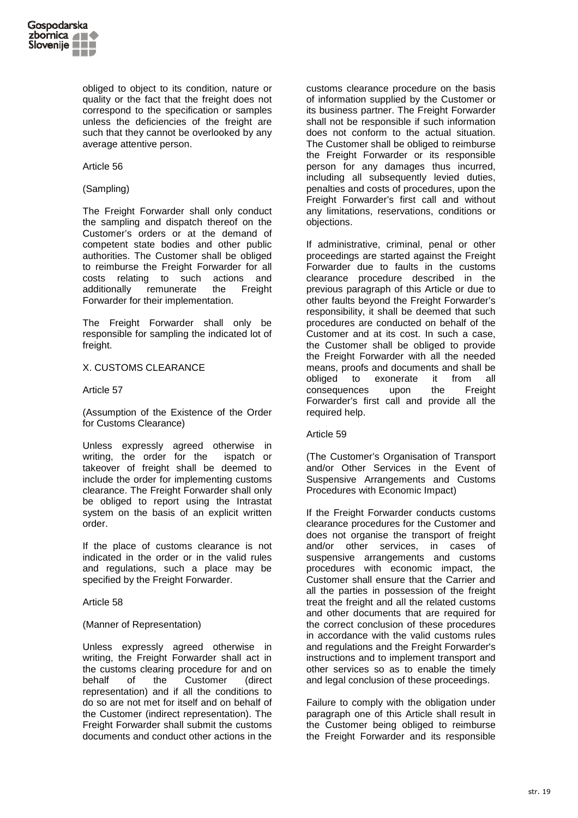

obliged to object to its condition, nature or quality or the fact that the freight does not correspond to the specification or samples unless the deficiencies of the freight are such that they cannot be overlooked by any average attentive person.

### Article 56

# (Sampling)

The Freight Forwarder shall only conduct the sampling and dispatch thereof on the Customer's orders or at the demand of competent state bodies and other public authorities. The Customer shall be obliged to reimburse the Freight Forwarder for all costs relating to such actions and additionally remunerate the Freight Forwarder for their implementation.

The Freight Forwarder shall only be responsible for sampling the indicated lot of freight.

### X. CUSTOMS CLEARANCE

Article 57

(Assumption of the Existence of the Order for Customs Clearance)

Unless expressly agreed otherwise in writing, the order for the ispatch or takeover of freight shall be deemed to include the order for implementing customs clearance. The Freight Forwarder shall only be obliged to report using the Intrastat system on the basis of an explicit written order.

If the place of customs clearance is not indicated in the order or in the valid rules and regulations, such a place may be specified by the Freight Forwarder.

Article 58

### (Manner of Representation)

Unless expressly agreed otherwise in writing, the Freight Forwarder shall act in the customs clearing procedure for and on behalf of the Customer (direct representation) and if all the conditions to do so are not met for itself and on behalf of the Customer (indirect representation). The Freight Forwarder shall submit the customs documents and conduct other actions in the

customs clearance procedure on the basis of information supplied by the Customer or its business partner. The Freight Forwarder shall not be responsible if such information does not conform to the actual situation. The Customer shall be obliged to reimburse the Freight Forwarder or its responsible person for any damages thus incurred, including all subsequently levied duties, penalties and costs of procedures, upon the Freight Forwarder's first call and without any limitations, reservations, conditions or objections.

If administrative, criminal, penal or other proceedings are started against the Freight Forwarder due to faults in the customs clearance procedure described in the previous paragraph of this Article or due to other faults beyond the Freight Forwarder's responsibility, it shall be deemed that such procedures are conducted on behalf of the Customer and at its cost. In such a case, the Customer shall be obliged to provide the Freight Forwarder with all the needed means, proofs and documents and shall be obliged to exonerate it from all consequences upon the Freight Forwarder's first call and provide all the required help.

### Article 59

(The Customer's Organisation of Transport and/or Other Services in the Event of Suspensive Arrangements and Customs Procedures with Economic Impact)

If the Freight Forwarder conducts customs clearance procedures for the Customer and does not organise the transport of freight and/or other services, in cases of suspensive arrangements and customs procedures with economic impact, the Customer shall ensure that the Carrier and all the parties in possession of the freight treat the freight and all the related customs and other documents that are required for the correct conclusion of these procedures in accordance with the valid customs rules and regulations and the Freight Forwarder's instructions and to implement transport and other services so as to enable the timely and legal conclusion of these proceedings.

Failure to comply with the obligation under paragraph one of this Article shall result in the Customer being obliged to reimburse the Freight Forwarder and its responsible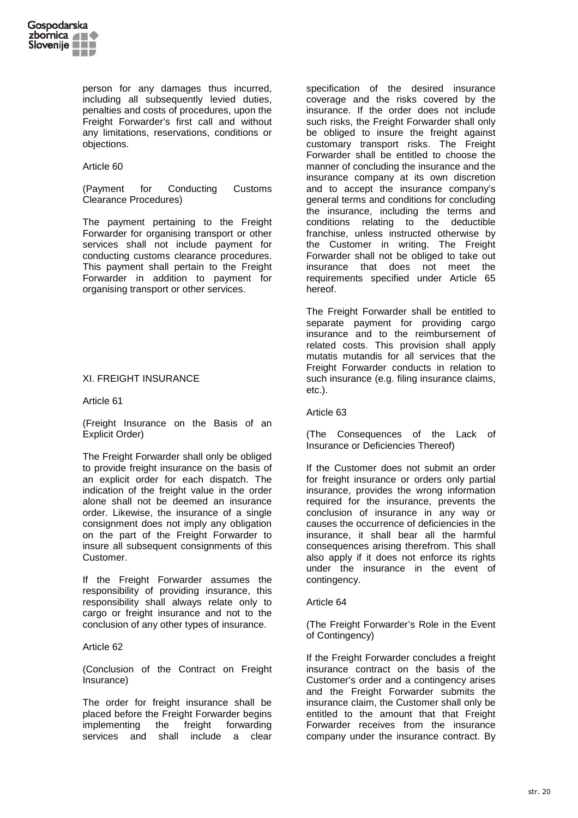

person for any damages thus incurred, including all subsequently levied duties, penalties and costs of procedures, upon the Freight Forwarder's first call and without any limitations, reservations, conditions or objections.

### Article 60

(Payment for Conducting Customs Clearance Procedures)

The payment pertaining to the Freight Forwarder for organising transport or other services shall not include payment for conducting customs clearance procedures. This payment shall pertain to the Freight Forwarder in addition to payment for organising transport or other services.

# XI. FREIGHT INSURANCE

### Article 61

(Freight Insurance on the Basis of an Explicit Order)

The Freight Forwarder shall only be obliged to provide freight insurance on the basis of an explicit order for each dispatch. The indication of the freight value in the order alone shall not be deemed an insurance order. Likewise, the insurance of a single consignment does not imply any obligation on the part of the Freight Forwarder to insure all subsequent consignments of this Customer.

If the Freight Forwarder assumes the responsibility of providing insurance, this responsibility shall always relate only to cargo or freight insurance and not to the conclusion of any other types of insurance.

### Article 62

(Conclusion of the Contract on Freight Insurance)

The order for freight insurance shall be placed before the Freight Forwarder begins implementing the freight forwarding services and shall include a clear specification of the desired insurance coverage and the risks covered by the insurance. If the order does not include such risks, the Freight Forwarder shall only be obliged to insure the freight against customary transport risks. The Freight Forwarder shall be entitled to choose the manner of concluding the insurance and the insurance company at its own discretion and to accept the insurance company's general terms and conditions for concluding the insurance, including the terms and conditions relating to the deductible franchise, unless instructed otherwise by the Customer in writing. The Freight Forwarder shall not be obliged to take out insurance that does not meet the requirements specified under Article 65 hereof.

The Freight Forwarder shall be entitled to separate payment for providing cargo insurance and to the reimbursement of related costs. This provision shall apply mutatis mutandis for all services that the Freight Forwarder conducts in relation to such insurance (e.g. filing insurance claims, etc.).

## Article 63

(The Consequences of the Lack of Insurance or Deficiencies Thereof)

If the Customer does not submit an order for freight insurance or orders only partial insurance, provides the wrong information required for the insurance, prevents the conclusion of insurance in any way or causes the occurrence of deficiencies in the insurance, it shall bear all the harmful consequences arising therefrom. This shall also apply if it does not enforce its rights under the insurance in the event of contingency.

### Article 64

(The Freight Forwarder's Role in the Event of Contingency)

If the Freight Forwarder concludes a freight insurance contract on the basis of the Customer's order and a contingency arises and the Freight Forwarder submits the insurance claim, the Customer shall only be entitled to the amount that that Freight Forwarder receives from the insurance company under the insurance contract. By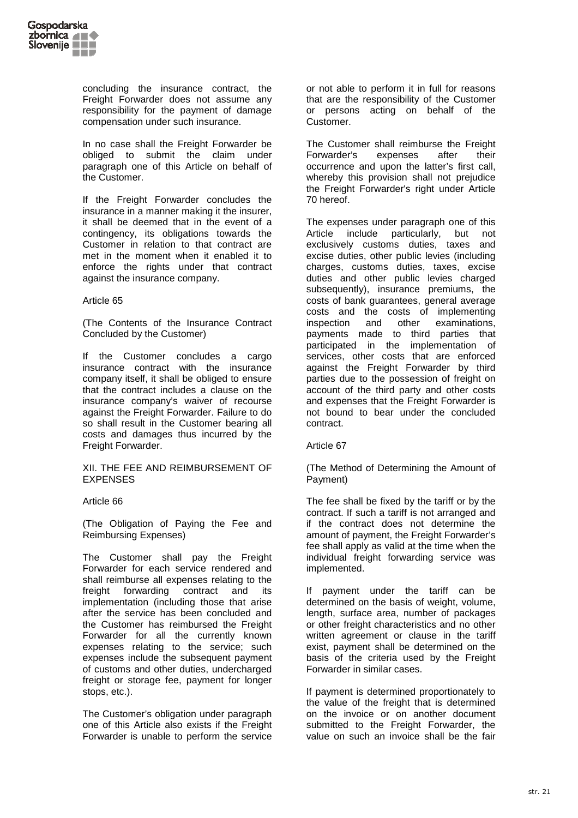

concluding the insurance contract, the Freight Forwarder does not assume any responsibility for the payment of damage compensation under such insurance.

In no case shall the Freight Forwarder be obliged to submit the claim under paragraph one of this Article on behalf of the Customer.

If the Freight Forwarder concludes the insurance in a manner making it the insurer, it shall be deemed that in the event of a contingency, its obligations towards the Customer in relation to that contract are met in the moment when it enabled it to enforce the rights under that contract against the insurance company.

Article 65

(The Contents of the Insurance Contract Concluded by the Customer)

If the Customer concludes a cargo insurance contract with the insurance company itself, it shall be obliged to ensure that the contract includes a clause on the insurance company's waiver of recourse against the Freight Forwarder. Failure to do so shall result in the Customer bearing all costs and damages thus incurred by the Freight Forwarder.

XII. THE FEE AND REIMBURSEMENT OF EXPENSES

### Article 66

(The Obligation of Paying the Fee and Reimbursing Expenses)

The Customer shall pay the Freight Forwarder for each service rendered and shall reimburse all expenses relating to the freight forwarding contract and its implementation (including those that arise after the service has been concluded and the Customer has reimbursed the Freight Forwarder for all the currently known expenses relating to the service; such expenses include the subsequent payment of customs and other duties, undercharged freight or storage fee, payment for longer stops, etc.).

The Customer's obligation under paragraph one of this Article also exists if the Freight Forwarder is unable to perform the service

or not able to perform it in full for reasons that are the responsibility of the Customer or persons acting on behalf of the Customer.

The Customer shall reimburse the Freight Forwarder's expenses after their occurrence and upon the latter's first call, whereby this provision shall not prejudice the Freight Forwarder's right under Article 70 hereof.

The expenses under paragraph one of this Article include particularly, but not exclusively customs duties, taxes and excise duties, other public levies (including charges, customs duties, taxes, excise duties and other public levies charged subsequently), insurance premiums, the costs of bank guarantees, general average costs and the costs of implementing inspection and other examinations, payments made to third parties that participated in the implementation of services, other costs that are enforced against the Freight Forwarder by third parties due to the possession of freight on account of the third party and other costs and expenses that the Freight Forwarder is not bound to bear under the concluded contract.

### Article 67

(The Method of Determining the Amount of Payment)

The fee shall be fixed by the tariff or by the contract. If such a tariff is not arranged and if the contract does not determine the amount of payment, the Freight Forwarder's fee shall apply as valid at the time when the individual freight forwarding service was implemented.

If payment under the tariff can be determined on the basis of weight, volume, length, surface area, number of packages or other freight characteristics and no other written agreement or clause in the tariff exist, payment shall be determined on the basis of the criteria used by the Freight Forwarder in similar cases.

If payment is determined proportionately to the value of the freight that is determined on the invoice or on another document submitted to the Freight Forwarder, the value on such an invoice shall be the fair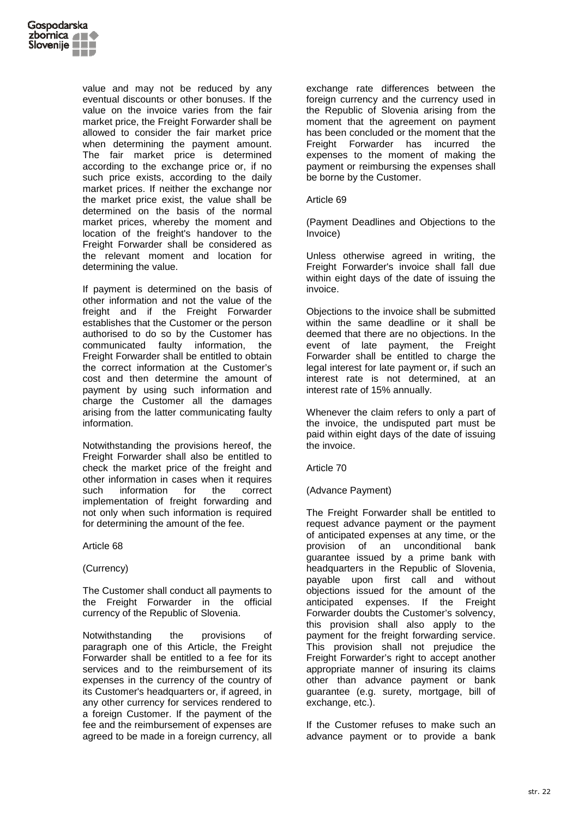

value and may not be reduced by any eventual discounts or other bonuses. If the value on the invoice varies from the fair market price, the Freight Forwarder shall be allowed to consider the fair market price when determining the payment amount. The fair market price is determined according to the exchange price or, if no such price exists, according to the daily market prices. If neither the exchange nor the market price exist, the value shall be determined on the basis of the normal market prices, whereby the moment and location of the freight's handover to the Freight Forwarder shall be considered as the relevant moment and location for determining the value.

If payment is determined on the basis of other information and not the value of the freight and if the Freight Forwarder establishes that the Customer or the person authorised to do so by the Customer has communicated faulty information, the Freight Forwarder shall be entitled to obtain the correct information at the Customer's cost and then determine the amount of payment by using such information and charge the Customer all the damages arising from the latter communicating faulty information.

Notwithstanding the provisions hereof, the Freight Forwarder shall also be entitled to check the market price of the freight and other information in cases when it requires such information for the correct implementation of freight forwarding and not only when such information is required for determining the amount of the fee.

Article 68

## (Currency)

The Customer shall conduct all payments to the Freight Forwarder in the official currency of the Republic of Slovenia.

Notwithstanding the provisions of paragraph one of this Article, the Freight Forwarder shall be entitled to a fee for its services and to the reimbursement of its expenses in the currency of the country of its Customer's headquarters or, if agreed, in any other currency for services rendered to a foreign Customer. If the payment of the fee and the reimbursement of expenses are agreed to be made in a foreign currency, all exchange rate differences between the foreign currency and the currency used in the Republic of Slovenia arising from the moment that the agreement on payment has been concluded or the moment that the Freight Forwarder has incurred the expenses to the moment of making the payment or reimbursing the expenses shall be borne by the Customer.

### Article 69

(Payment Deadlines and Objections to the Invoice)

Unless otherwise agreed in writing, the Freight Forwarder's invoice shall fall due within eight days of the date of issuing the invoice.

Objections to the invoice shall be submitted within the same deadline or it shall be deemed that there are no objections. In the event of late payment, the Freight Forwarder shall be entitled to charge the legal interest for late payment or, if such an interest rate is not determined, at an interest rate of 15% annually.

Whenever the claim refers to only a part of the invoice, the undisputed part must be paid within eight days of the date of issuing the invoice.

Article 70

(Advance Payment)

The Freight Forwarder shall be entitled to request advance payment or the payment of anticipated expenses at any time, or the provision of an unconditional bank guarantee issued by a prime bank with headquarters in the Republic of Slovenia, payable upon first call and without objections issued for the amount of the anticipated expenses. If the Freight Forwarder doubts the Customer's solvency, this provision shall also apply to the payment for the freight forwarding service. This provision shall not prejudice the Freight Forwarder's right to accept another appropriate manner of insuring its claims other than advance payment or bank guarantee (e.g. surety, mortgage, bill of exchange, etc.).

If the Customer refuses to make such an advance payment or to provide a bank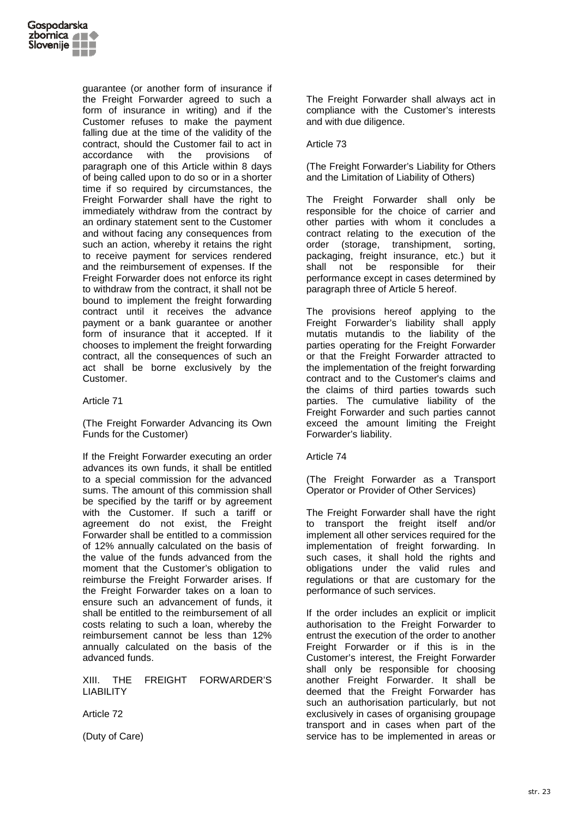

guarantee (or another form of insurance if the Freight Forwarder agreed to such a form of insurance in writing) and if the Customer refuses to make the payment falling due at the time of the validity of the contract, should the Customer fail to act in accordance with the provisions of paragraph one of this Article within 8 days of being called upon to do so or in a shorter time if so required by circumstances, the Freight Forwarder shall have the right to immediately withdraw from the contract by an ordinary statement sent to the Customer and without facing any consequences from such an action, whereby it retains the right to receive payment for services rendered and the reimbursement of expenses. If the Freight Forwarder does not enforce its right to withdraw from the contract, it shall not be bound to implement the freight forwarding contract until it receives the advance payment or a bank guarantee or another form of insurance that it accepted. If it chooses to implement the freight forwarding contract, all the consequences of such an act shall be borne exclusively by the Customer.

# Article 71

(The Freight Forwarder Advancing its Own Funds for the Customer)

If the Freight Forwarder executing an order advances its own funds, it shall be entitled to a special commission for the advanced sums. The amount of this commission shall be specified by the tariff or by agreement with the Customer. If such a tariff or agreement do not exist, the Freight Forwarder shall be entitled to a commission of 12% annually calculated on the basis of the value of the funds advanced from the moment that the Customer's obligation to reimburse the Freight Forwarder arises. If the Freight Forwarder takes on a loan to ensure such an advancement of funds, it shall be entitled to the reimbursement of all costs relating to such a loan, whereby the reimbursement cannot be less than 12% annually calculated on the basis of the advanced funds.

XIII. THE FREIGHT FORWARDER'S LIABILITY

Article 72

(Duty of Care)

The Freight Forwarder shall always act in compliance with the Customer's interests and with due diligence.

Article 73

(The Freight Forwarder's Liability for Others and the Limitation of Liability of Others)

The Freight Forwarder shall only be responsible for the choice of carrier and other parties with whom it concludes a contract relating to the execution of the order (storage, transhipment, sorting, packaging, freight insurance, etc.) but it shall not be responsible for their performance except in cases determined by paragraph three of Article 5 hereof.

The provisions hereof applying to the Freight Forwarder's liability shall apply mutatis mutandis to the liability of the parties operating for the Freight Forwarder or that the Freight Forwarder attracted to the implementation of the freight forwarding contract and to the Customer's claims and the claims of third parties towards such parties. The cumulative liability of the Freight Forwarder and such parties cannot exceed the amount limiting the Freight Forwarder's liability.

Article 74

(The Freight Forwarder as a Transport Operator or Provider of Other Services)

The Freight Forwarder shall have the right to transport the freight itself and/or implement all other services required for the implementation of freight forwarding. In such cases, it shall hold the rights and obligations under the valid rules and regulations or that are customary for the performance of such services.

If the order includes an explicit or implicit authorisation to the Freight Forwarder to entrust the execution of the order to another Freight Forwarder or if this is in the Customer's interest, the Freight Forwarder shall only be responsible for choosing another Freight Forwarder. It shall be deemed that the Freight Forwarder has such an authorisation particularly, but not exclusively in cases of organising groupage transport and in cases when part of the service has to be implemented in areas or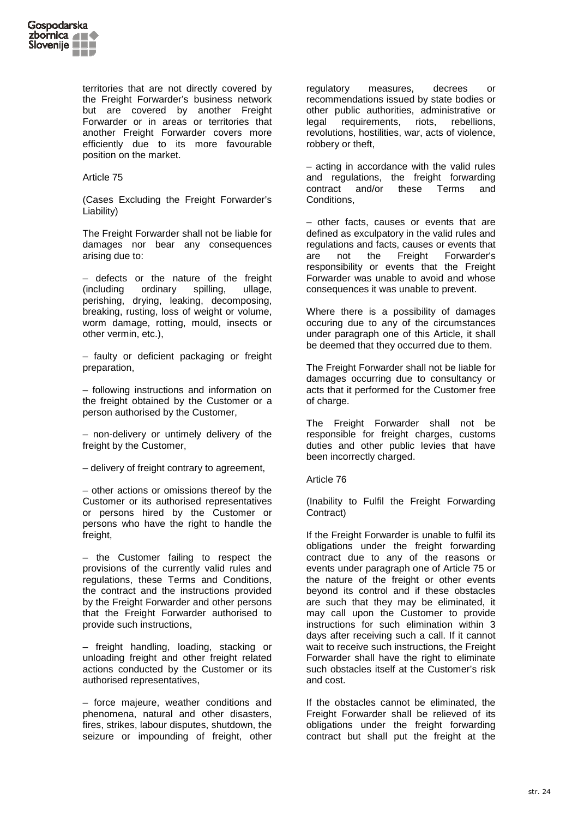

territories that are not directly covered by the Freight Forwarder's business network but are covered by another Freight Forwarder or in areas or territories that another Freight Forwarder covers more efficiently due to its more favourable position on the market.

Article 75

(Cases Excluding the Freight Forwarder's Liability)

The Freight Forwarder shall not be liable for damages nor bear any consequences arising due to:

– defects or the nature of the freight (including ordinary spilling, ullage, perishing, drying, leaking, decomposing, breaking, rusting, loss of weight or volume, worm damage, rotting, mould, insects or other vermin, etc.),

– faulty or deficient packaging or freight preparation,

– following instructions and information on the freight obtained by the Customer or a person authorised by the Customer,

– non-delivery or untimely delivery of the freight by the Customer,

– delivery of freight contrary to agreement,

– other actions or omissions thereof by the Customer or its authorised representatives or persons hired by the Customer or persons who have the right to handle the freight.

– the Customer failing to respect the provisions of the currently valid rules and regulations, these Terms and Conditions, the contract and the instructions provided by the Freight Forwarder and other persons that the Freight Forwarder authorised to provide such instructions,

– freight handling, loading, stacking or unloading freight and other freight related actions conducted by the Customer or its authorised representatives,

– force majeure, weather conditions and phenomena, natural and other disasters, fires, strikes, labour disputes, shutdown, the seizure or impounding of freight, other

regulatory measures, decrees or recommendations issued by state bodies or other public authorities, administrative or legal requirements, riots, rebellions, revolutions, hostilities, war, acts of violence, robbery or theft,

– acting in accordance with the valid rules and regulations, the freight forwarding contract and/or these Terms and **Conditions** 

– other facts, causes or events that are defined as exculpatory in the valid rules and regulations and facts, causes or events that are not the Freight Forwarder's responsibility or events that the Freight Forwarder was unable to avoid and whose consequences it was unable to prevent.

Where there is a possibility of damages occuring due to any of the circumstances under paragraph one of this Article, it shall be deemed that they occurred due to them.

The Freight Forwarder shall not be liable for damages occurring due to consultancy or acts that it performed for the Customer free of charge.

The Freight Forwarder shall not be responsible for freight charges, customs duties and other public levies that have been incorrectly charged.

Article 76

(Inability to Fulfil the Freight Forwarding Contract)

If the Freight Forwarder is unable to fulfil its obligations under the freight forwarding contract due to any of the reasons or events under paragraph one of Article 75 or the nature of the freight or other events beyond its control and if these obstacles are such that they may be eliminated, it may call upon the Customer to provide instructions for such elimination within 3 days after receiving such a call. If it cannot wait to receive such instructions, the Freight Forwarder shall have the right to eliminate such obstacles itself at the Customer's risk and cost.

If the obstacles cannot be eliminated, the Freight Forwarder shall be relieved of its obligations under the freight forwarding contract but shall put the freight at the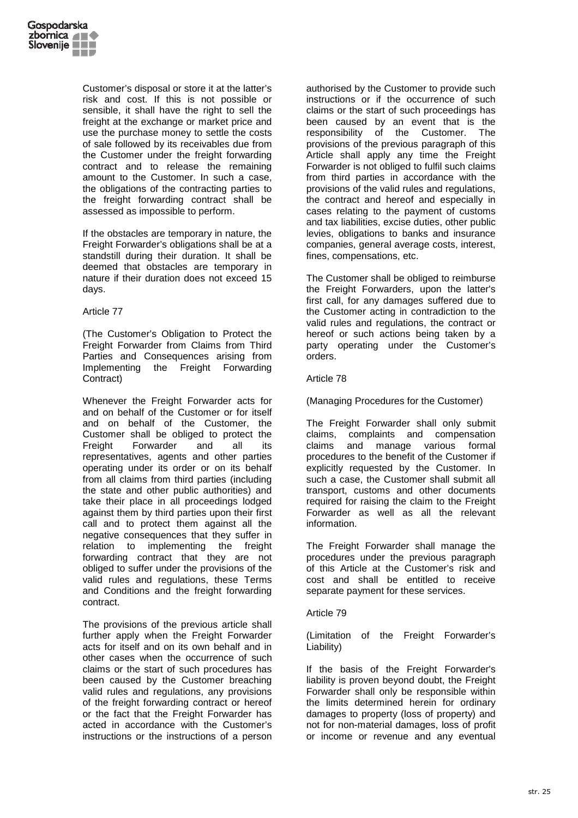

Customer's disposal or store it at the latter's risk and cost. If this is not possible or sensible, it shall have the right to sell the freight at the exchange or market price and use the purchase money to settle the costs of sale followed by its receivables due from the Customer under the freight forwarding contract and to release the remaining amount to the Customer. In such a case, the obligations of the contracting parties to the freight forwarding contract shall be assessed as impossible to perform.

If the obstacles are temporary in nature, the Freight Forwarder's obligations shall be at a standstill during their duration. It shall be deemed that obstacles are temporary in nature if their duration does not exceed 15 days.

### Article 77

(The Customer's Obligation to Protect the Freight Forwarder from Claims from Third Parties and Consequences arising from Implementing the Freight Forwarding Contract)

Whenever the Freight Forwarder acts for and on behalf of the Customer or for itself and on behalf of the Customer, the Customer shall be obliged to protect the Freight Forwarder and all its representatives, agents and other parties operating under its order or on its behalf from all claims from third parties (including the state and other public authorities) and take their place in all proceedings lodged against them by third parties upon their first call and to protect them against all the negative consequences that they suffer in relation to implementing the freight forwarding contract that they are not obliged to suffer under the provisions of the valid rules and regulations, these Terms and Conditions and the freight forwarding contract.

The provisions of the previous article shall further apply when the Freight Forwarder acts for itself and on its own behalf and in other cases when the occurrence of such claims or the start of such procedures has been caused by the Customer breaching valid rules and regulations, any provisions of the freight forwarding contract or hereof or the fact that the Freight Forwarder has acted in accordance with the Customer's instructions or the instructions of a person

authorised by the Customer to provide such instructions or if the occurrence of such claims or the start of such proceedings has been caused by an event that is the responsibility of the Customer. The provisions of the previous paragraph of this Article shall apply any time the Freight Forwarder is not obliged to fulfil such claims from third parties in accordance with the provisions of the valid rules and regulations, the contract and hereof and especially in cases relating to the payment of customs and tax liabilities, excise duties, other public levies, obligations to banks and insurance companies, general average costs, interest, fines, compensations, etc.

The Customer shall be obliged to reimburse the Freight Forwarders, upon the latter's first call, for any damages suffered due to the Customer acting in contradiction to the valid rules and regulations, the contract or hereof or such actions being taken by a party operating under the Customer's orders.

# Article 78

(Managing Procedures for the Customer)

The Freight Forwarder shall only submit claims, complaints and compensation claims and manage various formal procedures to the benefit of the Customer if explicitly requested by the Customer. In such a case, the Customer shall submit all transport, customs and other documents required for raising the claim to the Freight Forwarder as well as all the relevant information.

The Freight Forwarder shall manage the procedures under the previous paragraph of this Article at the Customer's risk and cost and shall be entitled to receive separate payment for these services.

### Article 79

(Limitation of the Freight Forwarder's Liability)

If the basis of the Freight Forwarder's liability is proven beyond doubt, the Freight Forwarder shall only be responsible within the limits determined herein for ordinary damages to property (loss of property) and not for non-material damages, loss of profit or income or revenue and any eventual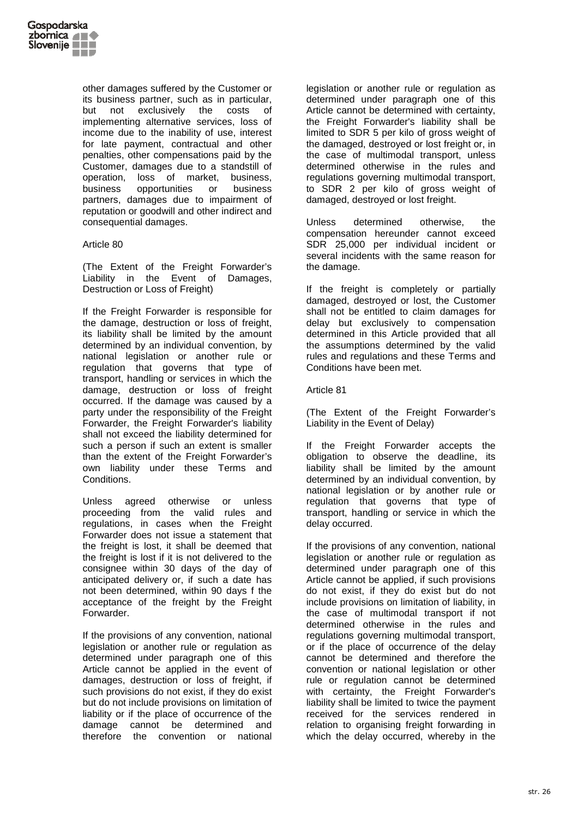

other damages suffered by the Customer or its business partner, such as in particular, but not exclusively the costs of implementing alternative services, loss of income due to the inability of use, interest for late payment, contractual and other penalties, other compensations paid by the Customer, damages due to a standstill of operation, loss of market, business, business opportunities or business partners, damages due to impairment of reputation or goodwill and other indirect and consequential damages.

### Article 80

(The Extent of the Freight Forwarder's Liability in the Event of Damages, Destruction or Loss of Freight)

If the Freight Forwarder is responsible for the damage, destruction or loss of freight, its liability shall be limited by the amount determined by an individual convention, by national legislation or another rule or regulation that governs that type of transport, handling or services in which the damage, destruction or loss of freight occurred. If the damage was caused by a party under the responsibility of the Freight Forwarder, the Freight Forwarder's liability shall not exceed the liability determined for such a person if such an extent is smaller than the extent of the Freight Forwarder's own liability under these Terms and Conditions.

Unless agreed otherwise or unless proceeding from the valid rules and regulations, in cases when the Freight Forwarder does not issue a statement that the freight is lost, it shall be deemed that the freight is lost if it is not delivered to the consignee within 30 days of the day of anticipated delivery or, if such a date has not been determined, within 90 days f the acceptance of the freight by the Freight Forwarder.

If the provisions of any convention, national legislation or another rule or regulation as determined under paragraph one of this Article cannot be applied in the event of damages, destruction or loss of freight, if such provisions do not exist, if they do exist but do not include provisions on limitation of liability or if the place of occurrence of the damage cannot be determined and therefore the convention or national

legislation or another rule or regulation as determined under paragraph one of this Article cannot be determined with certainty, the Freight Forwarder's liability shall be limited to SDR 5 per kilo of gross weight of the damaged, destroyed or lost freight or, in the case of multimodal transport, unless determined otherwise in the rules and regulations governing multimodal transport, to SDR 2 per kilo of gross weight of damaged, destroyed or lost freight.

Unless determined otherwise, the compensation hereunder cannot exceed SDR 25,000 per individual incident or several incidents with the same reason for the damage.

If the freight is completely or partially damaged, destroyed or lost, the Customer shall not be entitled to claim damages for delay but exclusively to compensation determined in this Article provided that all the assumptions determined by the valid rules and regulations and these Terms and Conditions have been met.

Article 81

(The Extent of the Freight Forwarder's Liability in the Event of Delay)

If the Freight Forwarder accepts the obligation to observe the deadline, its liability shall be limited by the amount determined by an individual convention, by national legislation or by another rule or regulation that governs that type of transport, handling or service in which the delay occurred.

If the provisions of any convention, national legislation or another rule or regulation as determined under paragraph one of this Article cannot be applied, if such provisions do not exist, if they do exist but do not include provisions on limitation of liability, in the case of multimodal transport if not determined otherwise in the rules and regulations governing multimodal transport, or if the place of occurrence of the delay cannot be determined and therefore the convention or national legislation or other rule or regulation cannot be determined with certainty, the Freight Forwarder's liability shall be limited to twice the payment received for the services rendered in relation to organising freight forwarding in which the delay occurred, whereby in the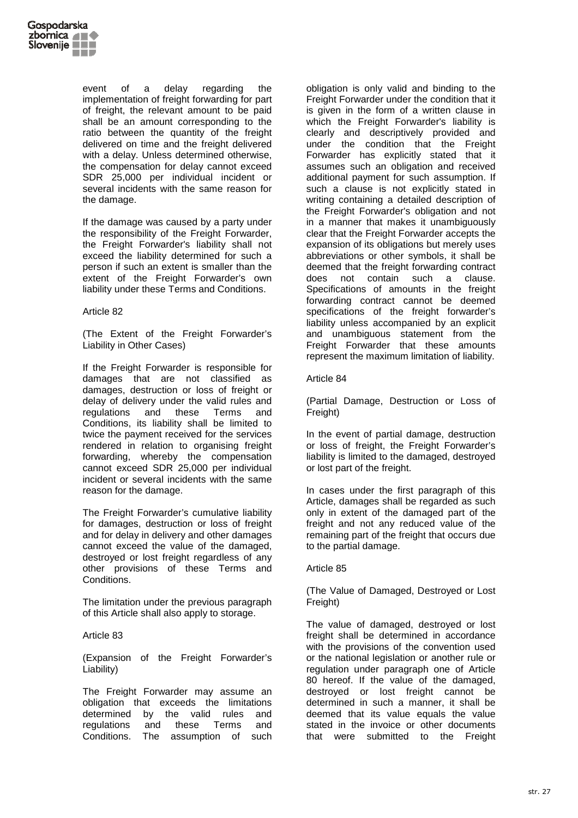

event of a delay regarding the implementation of freight forwarding for part of freight, the relevant amount to be paid shall be an amount corresponding to the ratio between the quantity of the freight delivered on time and the freight delivered with a delay. Unless determined otherwise, the compensation for delay cannot exceed SDR 25,000 per individual incident or several incidents with the same reason for the damage.

If the damage was caused by a party under the responsibility of the Freight Forwarder, the Freight Forwarder's liability shall not exceed the liability determined for such a person if such an extent is smaller than the extent of the Freight Forwarder's own liability under these Terms and Conditions.

#### Article 82

(The Extent of the Freight Forwarder's Liability in Other Cases)

If the Freight Forwarder is responsible for damages that are not classified as damages, destruction or loss of freight or delay of delivery under the valid rules and regulations and these Terms and Conditions, its liability shall be limited to twice the payment received for the services rendered in relation to organising freight forwarding, whereby the compensation cannot exceed SDR 25,000 per individual incident or several incidents with the same reason for the damage.

The Freight Forwarder's cumulative liability for damages, destruction or loss of freight and for delay in delivery and other damages cannot exceed the value of the damaged, destroyed or lost freight regardless of any other provisions of these Terms and Conditions.

The limitation under the previous paragraph of this Article shall also apply to storage.

### Article 83

(Expansion of the Freight Forwarder's Liability)

The Freight Forwarder may assume an obligation that exceeds the limitations determined by the valid rules and regulations and these Terms and Conditions. The assumption of such obligation is only valid and binding to the Freight Forwarder under the condition that it is given in the form of a written clause in which the Freight Forwarder's liability is clearly and descriptively provided and under the condition that the Freight Forwarder has explicitly stated that it assumes such an obligation and received additional payment for such assumption. If such a clause is not explicitly stated in writing containing a detailed description of the Freight Forwarder's obligation and not in a manner that makes it unambiguously clear that the Freight Forwarder accepts the expansion of its obligations but merely uses abbreviations or other symbols, it shall be deemed that the freight forwarding contract does not contain such a clause. Specifications of amounts in the freight forwarding contract cannot be deemed specifications of the freight forwarder's liability unless accompanied by an explicit and unambiguous statement from the Freight Forwarder that these amounts represent the maximum limitation of liability.

#### Article 84

(Partial Damage, Destruction or Loss of Freight)

In the event of partial damage, destruction or loss of freight, the Freight Forwarder's liability is limited to the damaged, destroyed or lost part of the freight.

In cases under the first paragraph of this Article, damages shall be regarded as such only in extent of the damaged part of the freight and not any reduced value of the remaining part of the freight that occurs due to the partial damage.

### Article 85

(The Value of Damaged, Destroyed or Lost Freight)

The value of damaged, destroyed or lost freight shall be determined in accordance with the provisions of the convention used or the national legislation or another rule or regulation under paragraph one of Article 80 hereof. If the value of the damaged, destroyed or lost freight cannot be determined in such a manner, it shall be deemed that its value equals the value stated in the invoice or other documents that were submitted to the Freight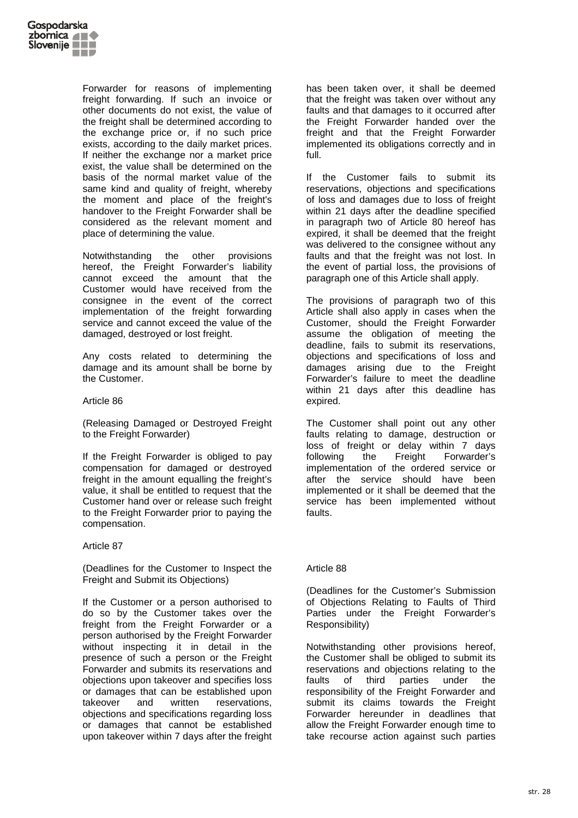

Forwarder for reasons of implementing freight forwarding. If such an invoice or other documents do not exist, the value of the freight shall be determined according to the exchange price or, if no such price exists, according to the daily market prices. If neither the exchange nor a market price exist, the value shall be determined on the basis of the normal market value of the same kind and quality of freight, whereby the moment and place of the freight's handover to the Freight Forwarder shall be considered as the relevant moment and place of determining the value.

Notwithstanding the other provisions hereof, the Freight Forwarder's liability cannot exceed the amount that the Customer would have received from the consignee in the event of the correct implementation of the freight forwarding service and cannot exceed the value of the damaged, destroyed or lost freight.

Any costs related to determining the damage and its amount shall be borne by the Customer.

### Article 86

(Releasing Damaged or Destroyed Freight to the Freight Forwarder)

If the Freight Forwarder is obliged to pay compensation for damaged or destroyed freight in the amount equalling the freight's value, it shall be entitled to request that the Customer hand over or release such freight to the Freight Forwarder prior to paying the compensation.

## Article 87

(Deadlines for the Customer to Inspect the Freight and Submit its Objections)

If the Customer or a person authorised to do so by the Customer takes over the freight from the Freight Forwarder or a person authorised by the Freight Forwarder without inspecting it in detail in the presence of such a person or the Freight Forwarder and submits its reservations and objections upon takeover and specifies loss or damages that can be established upon takeover and written reservations, objections and specifications regarding loss or damages that cannot be established upon takeover within 7 days after the freight

has been taken over, it shall be deemed that the freight was taken over without any faults and that damages to it occurred after the Freight Forwarder handed over the freight and that the Freight Forwarder implemented its obligations correctly and in full.

If the Customer fails to submit its reservations, objections and specifications of loss and damages due to loss of freight within 21 days after the deadline specified in paragraph two of Article 80 hereof has expired, it shall be deemed that the freight was delivered to the consignee without any faults and that the freight was not lost. In the event of partial loss, the provisions of paragraph one of this Article shall apply.

The provisions of paragraph two of this Article shall also apply in cases when the Customer, should the Freight Forwarder assume the obligation of meeting the deadline, fails to submit its reservations, objections and specifications of loss and damages arising due to the Freight Forwarder's failure to meet the deadline within 21 days after this deadline has expired.

The Customer shall point out any other faults relating to damage, destruction or loss of freight or delay within 7 days following the Freight Forwarder's implementation of the ordered service or after the service should have been implemented or it shall be deemed that the service has been implemented without faults.

## Article 88

(Deadlines for the Customer's Submission of Objections Relating to Faults of Third Parties under the Freight Forwarder's Responsibility)

Notwithstanding other provisions hereof, the Customer shall be obliged to submit its reservations and objections relating to the faults of third parties under the responsibility of the Freight Forwarder and submit its claims towards the Freight Forwarder hereunder in deadlines that allow the Freight Forwarder enough time to take recourse action against such parties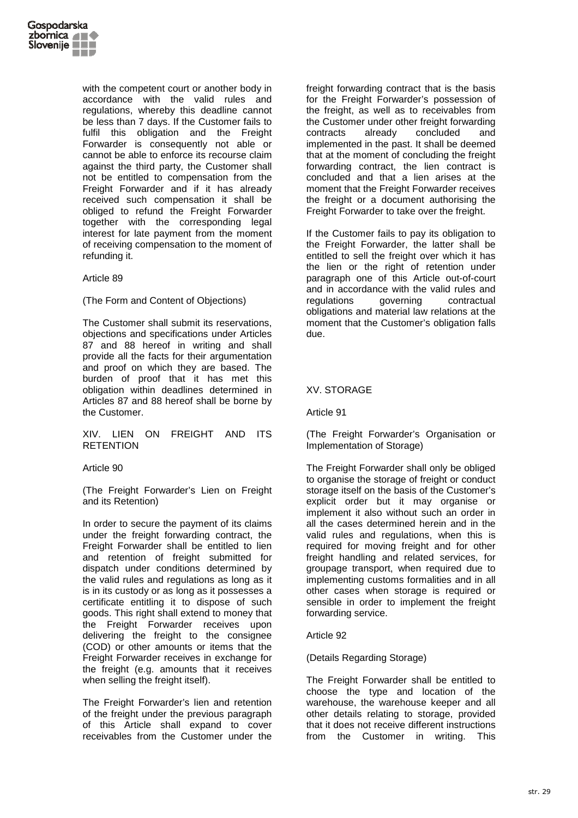

with the competent court or another body in accordance with the valid rules and regulations, whereby this deadline cannot be less than 7 days. If the Customer fails to fulfil this obligation and the Freight Forwarder is consequently not able or cannot be able to enforce its recourse claim against the third party, the Customer shall not be entitled to compensation from the Freight Forwarder and if it has already received such compensation it shall be obliged to refund the Freight Forwarder together with the corresponding legal interest for late payment from the moment of receiving compensation to the moment of refunding it.

### Article 89

(The Form and Content of Objections)

The Customer shall submit its reservations, objections and specifications under Articles 87 and 88 hereof in writing and shall provide all the facts for their argumentation and proof on which they are based. The burden of proof that it has met this obligation within deadlines determined in Articles 87 and 88 hereof shall be borne by the Customer.

XIV. LIEN ON FREIGHT AND ITS **RETENTION** 

Article 90

(The Freight Forwarder's Lien on Freight and its Retention)

In order to secure the payment of its claims under the freight forwarding contract, the Freight Forwarder shall be entitled to lien and retention of freight submitted for dispatch under conditions determined by the valid rules and regulations as long as it is in its custody or as long as it possesses a certificate entitling it to dispose of such goods. This right shall extend to money that the Freight Forwarder receives upon delivering the freight to the consignee (COD) or other amounts or items that the Freight Forwarder receives in exchange for the freight (e.g. amounts that it receives when selling the freight itself).

The Freight Forwarder's lien and retention of the freight under the previous paragraph of this Article shall expand to cover receivables from the Customer under the freight forwarding contract that is the basis for the Freight Forwarder's possession of the freight, as well as to receivables from the Customer under other freight forwarding contracts already concluded and implemented in the past. It shall be deemed that at the moment of concluding the freight forwarding contract, the lien contract is concluded and that a lien arises at the moment that the Freight Forwarder receives the freight or a document authorising the Freight Forwarder to take over the freight.

If the Customer fails to pay its obligation to the Freight Forwarder, the latter shall be entitled to sell the freight over which it has the lien or the right of retention under paragraph one of this Article out-of-court and in accordance with the valid rules and regulations governing contractual obligations and material law relations at the moment that the Customer's obligation falls due.

# XV. STORAGE

Article 91

(The Freight Forwarder's Organisation or Implementation of Storage)

The Freight Forwarder shall only be obliged to organise the storage of freight or conduct storage itself on the basis of the Customer's explicit order but it may organise or implement it also without such an order in all the cases determined herein and in the valid rules and regulations, when this is required for moving freight and for other freight handling and related services, for groupage transport, when required due to implementing customs formalities and in all other cases when storage is required or sensible in order to implement the freight forwarding service.

### Article 92

(Details Regarding Storage)

The Freight Forwarder shall be entitled to choose the type and location of the warehouse, the warehouse keeper and all other details relating to storage, provided that it does not receive different instructions from the Customer in writing. This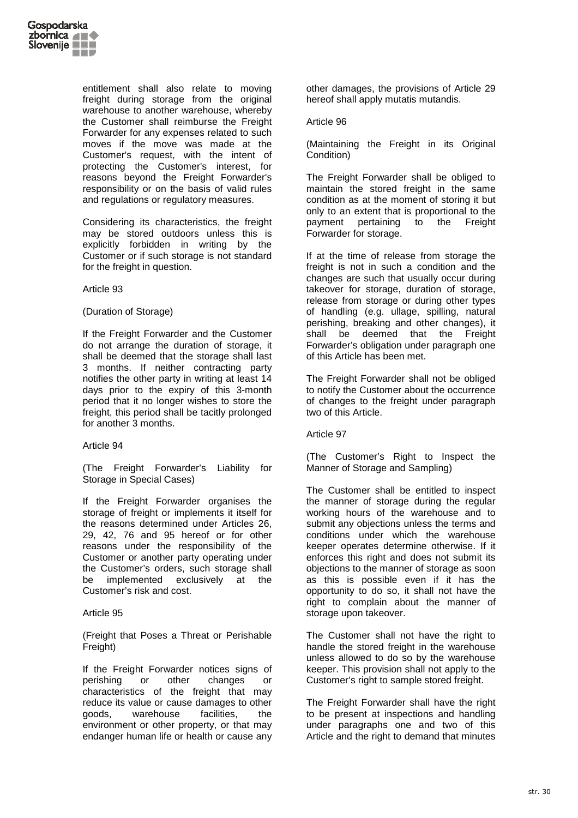

entitlement shall also relate to moving freight during storage from the original warehouse to another warehouse, whereby the Customer shall reimburse the Freight Forwarder for any expenses related to such moves if the move was made at the Customer's request, with the intent of protecting the Customer's interest, for reasons beyond the Freight Forwarder's responsibility or on the basis of valid rules and regulations or regulatory measures.

Considering its characteristics, the freight may be stored outdoors unless this is explicitly forbidden in writing by the Customer or if such storage is not standard for the freight in question.

### Article 93

### (Duration of Storage)

If the Freight Forwarder and the Customer do not arrange the duration of storage, it shall be deemed that the storage shall last 3 months. If neither contracting party notifies the other party in writing at least 14 days prior to the expiry of this 3-month period that it no longer wishes to store the freight, this period shall be tacitly prolonged for another 3 months.

### Article 94

(The Freight Forwarder's Liability for Storage in Special Cases)

If the Freight Forwarder organises the storage of freight or implements it itself for the reasons determined under Articles 26, 29, 42, 76 and 95 hereof or for other reasons under the responsibility of the Customer or another party operating under the Customer's orders, such storage shall be implemented exclusively at the Customer's risk and cost.

### Article 95

(Freight that Poses a Threat or Perishable Freight)

If the Freight Forwarder notices signs of perishing or other changes or characteristics of the freight that may reduce its value or cause damages to other goods, warehouse facilities, the environment or other property, or that may endanger human life or health or cause any other damages, the provisions of Article 29 hereof shall apply mutatis mutandis.

### Article 96

(Maintaining the Freight in its Original Condition)

The Freight Forwarder shall be obliged to maintain the stored freight in the same condition as at the moment of storing it but only to an extent that is proportional to the payment pertaining to the Freight Forwarder for storage.

If at the time of release from storage the freight is not in such a condition and the changes are such that usually occur during takeover for storage, duration of storage, release from storage or during other types of handling (e.g. ullage, spilling, natural perishing, breaking and other changes), it shall be deemed that the Freight Forwarder's obligation under paragraph one of this Article has been met.

The Freight Forwarder shall not be obliged to notify the Customer about the occurrence of changes to the freight under paragraph two of this Article.

### Article 97

(The Customer's Right to Inspect the Manner of Storage and Sampling)

The Customer shall be entitled to inspect the manner of storage during the regular working hours of the warehouse and to submit any objections unless the terms and conditions under which the warehouse keeper operates determine otherwise. If it enforces this right and does not submit its objections to the manner of storage as soon as this is possible even if it has the opportunity to do so, it shall not have the right to complain about the manner of storage upon takeover.

The Customer shall not have the right to handle the stored freight in the warehouse unless allowed to do so by the warehouse keeper. This provision shall not apply to the Customer's right to sample stored freight.

The Freight Forwarder shall have the right to be present at inspections and handling under paragraphs one and two of this Article and the right to demand that minutes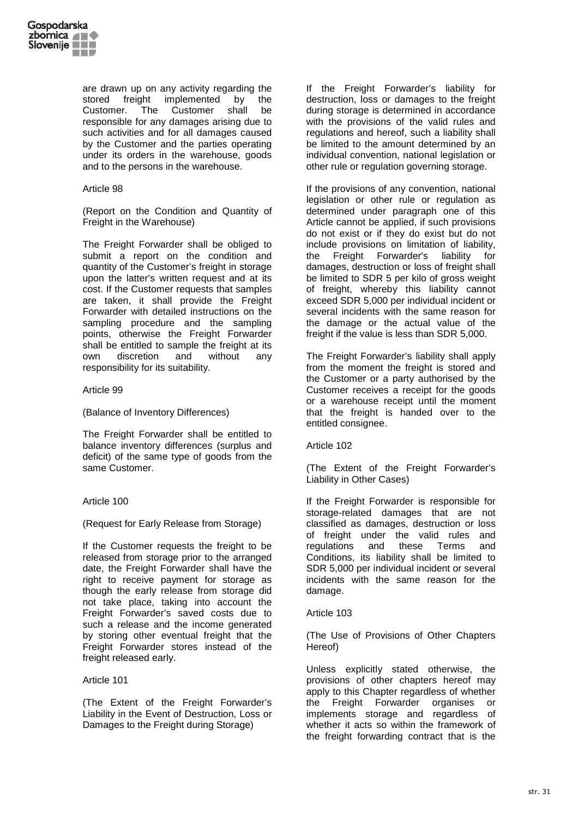

are drawn up on any activity regarding the stored freight implemented by the Customer. The Customer shall be responsible for any damages arising due to such activities and for all damages caused by the Customer and the parties operating under its orders in the warehouse, goods and to the persons in the warehouse.

## Article 98

(Report on the Condition and Quantity of Freight in the Warehouse)

The Freight Forwarder shall be obliged to submit a report on the condition and quantity of the Customer's freight in storage upon the latter's written request and at its cost. If the Customer requests that samples are taken, it shall provide the Freight Forwarder with detailed instructions on the sampling procedure and the sampling points, otherwise the Freight Forwarder shall be entitled to sample the freight at its own discretion and without any responsibility for its suitability.

Article 99

(Balance of Inventory Differences)

The Freight Forwarder shall be entitled to balance inventory differences (surplus and deficit) of the same type of goods from the same Customer.

### Article 100

(Request for Early Release from Storage)

If the Customer requests the freight to be released from storage prior to the arranged date, the Freight Forwarder shall have the right to receive payment for storage as though the early release from storage did not take place, taking into account the Freight Forwarder's saved costs due to such a release and the income generated by storing other eventual freight that the Freight Forwarder stores instead of the freight released early.

### Article 101

(The Extent of the Freight Forwarder's Liability in the Event of Destruction, Loss or Damages to the Freight during Storage)

If the Freight Forwarder's liability for destruction, loss or damages to the freight during storage is determined in accordance with the provisions of the valid rules and regulations and hereof, such a liability shall be limited to the amount determined by an individual convention, national legislation or other rule or regulation governing storage.

If the provisions of any convention, national legislation or other rule or regulation as determined under paragraph one of this Article cannot be applied, if such provisions do not exist or if they do exist but do not include provisions on limitation of liability, the Freight Forwarder's liability for damages, destruction or loss of freight shall be limited to SDR 5 per kilo of gross weight of freight, whereby this liability cannot exceed SDR 5,000 per individual incident or several incidents with the same reason for the damage or the actual value of the freight if the value is less than SDR 5,000.

The Freight Forwarder's liability shall apply from the moment the freight is stored and the Customer or a party authorised by the Customer receives a receipt for the goods or a warehouse receipt until the moment that the freight is handed over to the entitled consignee.

Article 102

(The Extent of the Freight Forwarder's Liability in Other Cases)

If the Freight Forwarder is responsible for storage-related damages that are not classified as damages, destruction or loss of freight under the valid rules and<br>regulations and these Terms and regulations and these Terms and Conditions, its liability shall be limited to SDR 5,000 per individual incident or several incidents with the same reason for the damage.

### Article 103

(The Use of Provisions of Other Chapters Hereof)

Unless explicitly stated otherwise, the provisions of other chapters hereof may apply to this Chapter regardless of whether the Freight Forwarder organises or implements storage and regardless of whether it acts so within the framework of the freight forwarding contract that is the